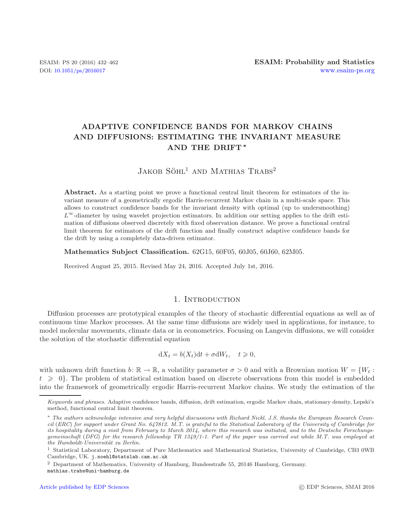# **ADAPTIVE CONFIDENCE BANDS FOR MARKOV CHAINS AND DIFFUSIONS: ESTIMATING THE INVARIANT MEASURE AND THE DRIFT** *∗*

# $JAKOB S\ddot{\text{O}}HL^1$  and Mathias Trabs<sup>2</sup>

**Abstract.** As a starting point we prove a functional central limit theorem for estimators of the invariant measure of a geometrically ergodic Harris-recurrent Markov chain in a multi-scale space. This allows to construct confidence bands for the invariant density with optimal (up to undersmoothing) *L*∞-diameter by using wavelet projection estimators. In addition our setting applies to the drift estimation of diffusions observed discretely with fixed observation distance. We prove a functional central limit theorem for estimators of the drift function and finally construct adaptive confidence bands for the drift by using a completely data-driven estimator.

**Mathematics Subject Classification.** 62G15, 60F05, 60J05, 60J60, 62M05.

Received August 25, 2015. Revised May 24, 2016. Accepted July 1st, 2016.

## 1. INTRODUCTION

Diffusion processes are prototypical examples of the theory of stochastic differential equations as well as of continuous time Markov processes. At the same time diffusions are widely used in applications, for instance, to model molecular movements, climate data or in econometrics. Focusing on Langevin diffusions, we will consider the solution of the stochastic differential equation

$$
dX_t = b(X_t)dt + \sigma dW_t, \quad t \geq 0,
$$

with unknown drift function  $b: \mathbb{R} \to \mathbb{R}$ , a volatility parameter  $\sigma > 0$  and with a Brownian motion  $W = \{W_t:$  $t \geq 0$ . The problem of statistical estimation based on discrete observations from this model is embedded into the framework of geometrically ergodic Harris-recurrent Markov chains. We study the estimation of the

Keywords and phrases. Adaptive confidence bands, diffusion, drift estimation, ergodic Markov chain, stationary density, Lepski's method, functional central limit theorem.

<sup>∗</sup> The authors acknowledge intensive and very helpful discussions with Richard Nickl. J.S. thanks the European Research Council (ERC) for support under Grant No. 647812. M.T. is grateful to the Statistical Laboratory of the University of Cambridge for its hospitality during a visit from February to March 2014, where this research was initiated, and to the Deutsche Forschungsgemeinschaft (DFG) for the research fellowship TR 1349/1-1. Part of the paper was carried out while M.T. was employed at the Humboldt-Universität zu Berlin.

<sup>1</sup> Statistical Laboratory, Department of Pure Mathematics and Mathematical Statistics, University of Cambridge, CB3 0WB Cambridge, UK. j.soehl@statslab.cam.ac.uk

<sup>2</sup> Department of Mathematics, University of Hamburg, Bundesstraße 55, 20146 Hamburg, Germany. mathias.trabs@uni-hamburg.de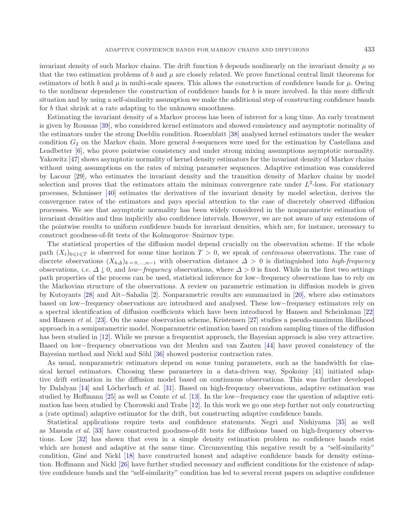invariant density of such Markov chains. The drift function b depends nonlinearly on the invariant density  $\mu$  so that the two estimation problems of b and  $\mu$  are closely related. We prove functional central limit theorems for estimators of both b and  $\mu$  in multi-scale spaces. This allows the construction of confidence bands for  $\mu$ . Owing to the nonlinear dependence the construction of confidence bands for b is more involved. In this more difficult situation and by using a self-similarity assumption we make the additional step of constructing confidence bands for b that shrink at a rate adapting to the unknown smoothness.

Estimating the invariant density of a Markov process has been of interest for a long time. An early treatment is given by Roussas [\[39\]](#page-30-0), who considered kernel estimators and showed consistency and asymptotic normality of the estimators under the strong Doeblin condition. Rosenblatt [\[38\]](#page-30-1) analysed kernel estimators under the weaker condition  $G_2$  on the Markov chain. More general  $\delta$ -sequences were used for the estimation by Castellana and Leadbetter [\[6\]](#page-29-0), who prove pointwise consistency and under strong mixing assumptions asymptotic normality. Yakowitz [\[47\]](#page-30-2) shows asymptotic normality of kernel density estimators for the invariant density of Markov chains without using assumptions on the rates of mixing parameter sequences. Adaptive estimation was considered by Lacour [\[29](#page-29-1)], who estimates the invariant density and the transition density of Markov chains by model selection and proves that the estimators attain the minimax convergence rate under  $L^2$ -loss. For stationary processes, Schmisser [\[40](#page-30-3)] estimates the derivatives of the invariant density by model selection, derives the convergence rates of the estimators and pays special attention to the case of discretely observed diffusion processes. We see that asymptotic normality has been widely considered in the nonparametric estimation of invariant densities and thus implicitly also confidence intervals. However, we are not aware of any extensions of the pointwise results to uniform confidence bands for invariant densities, which are, for instance, necessary to construct goodness-of-fit tests of the Kolmogorov–Smirnov type.

The statistical properties of the diffusion model depend crucially on the observation scheme. If the whole path  $(X_t)_{0 \leq t \leq T}$  is observed for some time horizon  $T > 0$ , we speak of *continuous* observations. The case of discussion discussed in the horizon of discussion discussed in the horizon of discussion of  $Y$ . discrete observations  $(X_{k\Delta})_{k=0,\dots,n-1}$  with observation distance  $\Delta > 0$  is distinguished into *high-frequency* observations, *i.e.*  $\Delta \downarrow 0$ , and *low–frequency* observations, where  $\Delta > 0$  is fixed. While in the first two settings path properties of the process can be used, statistical inference for low−frequency observations has to rely on the Markovian structure of the observations. A review on parametric estimation in diffusion models is given by Kutoyants [\[28\]](#page-29-2) and A¨ıt−Sahalia [\[2\]](#page-29-3). Nonparametric results are summarized in [\[20](#page-29-4)], where also estimators based on low−frequency observations are introduced and analysed. These low−frequency estimators rely on a spectral identification of diffusion coefficients which have been introduced by Hansen and Scheinkman [\[22\]](#page-29-5) and Hansen *et al.* [\[23\]](#page-29-6). On the same observation scheme, Kristensen [\[27](#page-29-7)] studies a pseudo-maximum likelihood approach in a semiparametric model. Nonparametric estimation based on random sampling times of the diffusion has been studied in [\[12](#page-29-8)]. While we pursue a frequentist approach, the Bayesian approach is also very attractive. Based on low−frequency observations van der Meulen and van Zanten [\[44\]](#page-30-4) have proved consistency of the Bayesian method and Nickl and Söhl [\[36](#page-29-9)] showed posterior contraction rates.

As usual, nonparametric estimators depend on some tuning parameters, such as the bandwidth for classical kernel estimators. Choosing these parameters in a data-driven way, Spokoiny [\[41\]](#page-30-5) initiated adaptive drift estimation in the diffusion model based on continuous observations. This was further developed by Dalalyan [\[14](#page-29-10)] and Löcherbach *et al.* [\[31\]](#page-29-11). Based on high-frequency observations, adaptive estimation was studied by Hoffmann [\[25](#page-29-12)] as well as Comte *et al.* [\[13\]](#page-29-13). In the low−frequency case the question of adaptive estimation has been studied by Chorowski and Trabs [\[12](#page-29-8)]. In this work we go one step further not only constructing a (rate optimal) adaptive estimator for the drift, but constructing adaptive confidence bands.

Statistical applications require tests and confidence statements. Negri and Nishiyama [\[35\]](#page-29-14) as well as Masuda *et al.* [\[33](#page-29-15)] have constructed goodness-of-fit tests for diffusions based on high-frequency observations. Low [\[32\]](#page-29-16) has shown that even in a simple density estimation problem no confidence bands exist which are honest and adaptive at the same time. Circumventing this negative result by a "self-similarity" condition, Giné and Nickl [\[18\]](#page-29-17) have constructed honest and adaptive confidence bands for density estimation. Hoffmann and Nickl [\[26](#page-29-18)] have further studied necessary and sufficient conditions for the existence of adaptive confidence bands and the "self-similarity" condition has led to several recent papers on adaptive confidence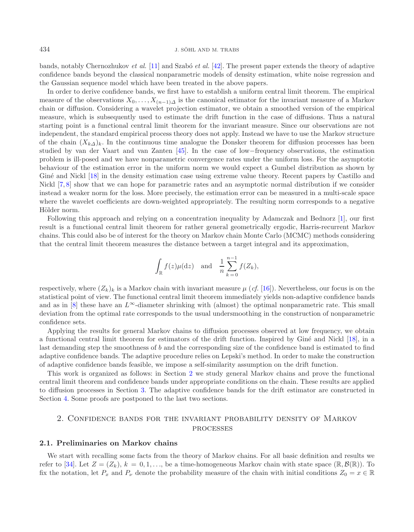bands, notably Chernozhukov *et al.* [\[11\]](#page-29-19) and Szab´o *et al.* [\[42](#page-30-6)]. The present paper extends the theory of adaptive confidence bands beyond the classical nonparametric models of density estimation, white noise regression and the Gaussian sequence model which have been treated in the above papers.

In order to derive confidence bands, we first have to establish a uniform central limit theorem. The empirical measure of the observations  $X_0, \ldots, X_{(n-1)\Delta}$  is the canonical estimator for the invariant measure of a Markov chain or diffusion. Considering a wavelet projection estimator, we obtain a smoothed version of the empirical measure, which is subsequently used to estimate the drift function in the case of diffusions. Thus a natural starting point is a functional central limit theorem for the invariant measure. Since our observations are not independent, the standard empirical process theory does not apply. Instead we have to use the Markov structure of the chain  $(X_{k\Delta})_k$ . In the continuous time analogue the Donsker theorem for diffusion processes has been studied by van der Vaart and van Zanten [\[45\]](#page-30-7). In the case of low−frequency observations, the estimation problem is ill-posed and we have nonparametric convergence rates under the uniform loss. For the asymptotic behaviour of the estimation error in the uniform norm we would expect a Gumbel distribution as shown by Giné and Nickl [\[18\]](#page-29-17) in the density estimation case using extreme value theory. Recent papers by Castillo and Nickl [\[7,](#page-29-20) [8](#page-29-21)] show that we can hope for parametric rates and an asymptotic normal distribution if we consider instead a weaker norm for the loss. More precisely, the estimation error can be measured in a multi-scale space where the wavelet coefficients are down-weighted appropriately. The resulting norm corresponds to a negative Hölder norm.

Following this approach and relying on a concentration inequality by Adamczak and Bednorz [\[1\]](#page-29-22), our first result is a functional central limit theorem for rather general geometrically ergodic, Harris-recurrent Markov chains. This could also be of interest for the theory on Markov chain Monte Carlo (MCMC) methods considering that the central limit theorem measures the distance between a target integral and its approximation,

$$
\int_{\mathbb{R}} f(z) \mu(\mathrm{d}z) \quad \text{and} \quad \frac{1}{n} \sum_{k=0}^{n-1} f(Z_k),
$$

respectively, where  $(Z_k)_k$  is a Markov chain with invariant measure  $\mu$  (*cf.* [\[16\]](#page-29-23)). Nevertheless, our focus is on the statistical point of view. The functional central limit theorem immediately yields non-adaptive confidence bands and as in [\[8](#page-29-21)] these have an  $L^{\infty}$ -diameter shrinking with (almost) the optimal nonparametric rate. This small deviation from the optimal rate corresponds to the usual undersmoothing in the construction of nonparametric confidence sets.

Applying the results for general Markov chains to diffusion processes observed at low frequency, we obtain a functional central limit theorem for estimators of the drift function. Inspired by Giné and Nickl [\[18\]](#page-29-17), in a last demanding step the smoothness of b and the corresponding size of the confidence band is estimated to find adaptive confidence bands. The adaptive procedure relies on Lepski's method. In order to make the construction of adaptive confidence bands feasible, we impose a self-similarity assumption on the drift function.

This work is organized as follows: in Section [2](#page-2-0) we study general Markov chains and prove the functional central limit theorem and confidence bands under appropriate conditions on the chain. These results are applied to diffusion processes in Section [3.](#page-10-0) The adaptive confidence bands for the drift estimator are constructed in Section [4.](#page-16-0) Some proofs are postponed to the last two sections.

# 2. Confidence bands for the invariant probability density of Markov processes

## <span id="page-2-0"></span>**2.1. Preliminaries on Markov chains**

We start with recalling some facts from the theory of Markov chains. For all basic definition and results we refer to [\[34\]](#page-29-24). Let  $Z = (Z_k)$ ,  $k = 0, 1, \ldots$ , be a time-homogeneous Markov chain with state space  $(\mathbb{R}, \mathcal{B}(\mathbb{R}))$ . To fix the notation, let  $P_x$  and  $P_y$  denote the probability measure of the chain with initial conditions  $Z_0 = x \in \mathbb{R}$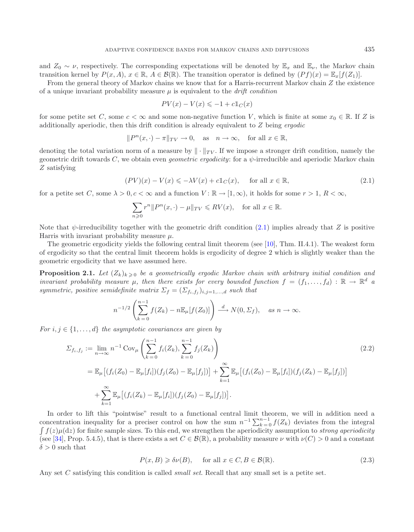and  $Z_0 \sim \nu$ , respectively. The corresponding expectations will be denoted by  $\mathbb{E}_x$  and  $\mathbb{E}_\nu$ , the Markov chain transition kernel by  $P(x, A)$ ,  $x \in \mathbb{R}$ ,  $A \in \mathcal{B}(\mathbb{R})$ . The transition operator is defined by  $(Pf)(x) = \mathbb{E}_x[f(Z_1)]$ .

From the general theory of Markov chains we know that for a Harris-recurrent Markov chain Z the existence of a unique invariant probability measure μ is equivalent to the *drift condition*

<span id="page-3-0"></span>
$$
PV(x) - V(x) \le -1 + c \mathbb{1}_C(x)
$$

for some petite set C, some  $c < \infty$  and some non-negative function V, which is finite at some  $x_0 \in \mathbb{R}$ . If Z is additionally aperiodic, then this drift condition is already equivalent to Z being *ergodic*

$$
||P^n(x, \cdot) - \pi||_{TV} \to 0
$$
, as  $n \to \infty$ , for all  $x \in \mathbb{R}$ ,

denoting the total variation norm of a measure by  $\|\cdot\|_{TV}$ . If we impose a stronger drift condition, namely the geometric drift towards C, we obtain even *geometric ergodicity*: for a ψ-irreducible and aperiodic Markov chain Z satisfying

$$
(PV)(x) - V(x) \le -\lambda V(x) + c1_c(x), \quad \text{for all } x \in \mathbb{R},
$$
\n(2.1)

for a petite set C, some  $\lambda > 0$ ,  $c < \infty$  and a function  $V : \mathbb{R} \to [1,\infty)$ , it holds for some  $r > 1$ ,  $R < \infty$ ,

<span id="page-3-2"></span>
$$
\sum_{n\geqslant 0} r^n \|P^n(x,\cdot) - \mu\|_{TV} \leqslant RV(x), \quad \text{for all } x \in \mathbb{R}.
$$

Note that  $\psi$ -irreducibility together with the geometric drift condition [\(2.1\)](#page-3-0) implies already that Z is positive Harris with invariant probability measure  $\mu$ .

The geometric ergodicity yields the following central limit theorem (see [\[10](#page-29-25)], Thm. II.4.1). The weakest form of ergodicity so that the central limit theorem holds is ergodicity of degree 2 which is slightly weaker than the geometric ergodicity that we have assumed here.

<span id="page-3-3"></span>**Proposition 2.1.** Let  $(Z_k)_{k \geq 0}$  be a geometrically ergodic Markov chain with arbitrary initial condition and *invariant probability measure*  $\mu$ , then there exists for every bounded function  $f = (f_1, \ldots, f_d) : \mathbb{R} \to \mathbb{R}^d$  a *symmetric, positive semidefinite matrix*  $\Sigma_f = (\Sigma_{f_i,f_i})_{i,j=1,\dots,d}$  *such that* 

$$
n^{-1/2}\left(\sum_{k=0}^{n-1}f(Z_k)-n\mathbb{E}_{\mu}[f(Z_0)]\right) \stackrel{d}{\longrightarrow} N(0,\Sigma_f), \quad \text{as } n \to \infty.
$$

*For*  $i, j \in \{1, \ldots, d\}$  *the asymptotic covariances are given by* 

$$
\Sigma_{f_i, f_j} := \lim_{n \to \infty} n^{-1} \operatorname{Cov}_{\mu} \left( \sum_{k=0}^{n-1} f_i(Z_k), \sum_{k=0}^{n-1} f_j(Z_k) \right)
$$
\n
$$
= \mathbb{E}_{\mu} \left[ (f_i(Z_0) - \mathbb{E}_{\mu}[f_i])(f_j(Z_0) - \mathbb{E}_{\mu}[f_j]) \right] + \sum_{k=1}^{\infty} \mathbb{E}_{\mu} \left[ (f_i(Z_0) - \mathbb{E}_{\mu}[f_i])(f_j(Z_k) - \mathbb{E}_{\mu}[f_j]) \right]
$$
\n
$$
+ \sum_{k=1}^{\infty} \mathbb{E}_{\mu} \left[ (f_i(Z_k) - \mathbb{E}_{\mu}[f_i])(f_j(Z_0) - \mathbb{E}_{\mu}[f_j]) \right].
$$
\n(2.2)

In order to lift this "pointwise" result to a functional central limit theorem, we will in addition need a concentration inequality for a preciser control on how the sum  $n^{-1} \sum_{k=0}^{n-1} f(Z_k)$  deviates from the integral  $\int f(z)u(z)$  for finite sample sizes. To this and we strengthen the aperiodicity assumption to *strong gneriod*  $\int f(z) \mu(\mathrm{d}z)$  for finite sample sizes. To this end, we strengthen the aperiodicity assumption to *strong aperiodicity* (see [\[34\]](#page-29-24), Prop. 5.4.5), that is there exists a set  $C \in \mathcal{B}(\mathbb{R})$ , a probability measure  $\nu$  with  $\nu(C) > 0$  and a constant  $\delta > 0$  such that

<span id="page-3-1"></span>
$$
P(x, B) \geq \delta \nu(B), \quad \text{ for all } x \in C, B \in \mathcal{B}(\mathbb{R}).
$$
 (2.3)

<span id="page-3-4"></span>Any set C satisfying this condition is called *small set*. Recall that any small set is a petite set.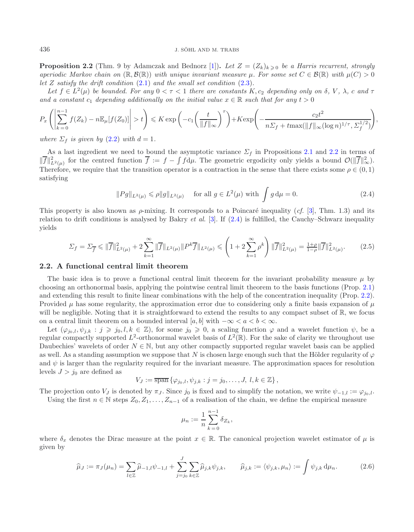**Proposition 2.2** (Thm. 9 by Adamczak and Bednorz [\[1\]](#page-29-22)). Let  $Z = (Z_k)_{k \geq 0}$  be a Harris recurrent, strongly *aperiodic Markov chain on*  $(\mathbb{R}, \mathcal{B}(\mathbb{R}))$  *with unique invariant measure*  $\mu$ *. For some set*  $C \in \mathcal{B}(\mathbb{R})$  *with*  $\mu(C) > 0$ *let* Z *satisfy the drift condition* [\(2.1\)](#page-3-0) *and the small set condition* [\(2.3\)](#page-3-1)*.*

Let  $f \in L^2(\mu)$  be bounded. For any  $0 < \tau < 1$  there are constants  $K, c_2$  depending only on  $\delta$ ,  $V, \lambda$ , c and  $\tau$ *and a constant*  $c_1$  *depending additionally on the initial value*  $x \in \mathbb{R}$  *such that for any*  $t > 0$ 

<span id="page-4-1"></span>
$$
P_x\left(\left|\sum_{k=0}^{n-1}f(Z_k) - n\mathbb{E}_{\mu}[f(Z_0)]\right| > t\right) \leq K \exp\left(-c_1\left(\frac{t}{\|f\|_{\infty}}\right)^{\tau}\right) + K \exp\left(-\frac{c_2t^2}{n\sum_f + t\max(\|f\|_{\infty}(\log n)^{1/\tau}, \sum_f^{1/2})}\right),
$$

*where*  $\Sigma_f$  *is given by* [\(2.2\)](#page-3-2) *with*  $d = 1$ *.* 

As a last ingredient we need to bound the asymptotic variance  $\Sigma_f$  in Propositions [2.1](#page-3-3) and [2.2](#page-3-4) in terms of  $||f||_{L^2(\mu)}^2$  for the centred function  $f := f - \int f d\mu$ . The geometric ergodicity only yields a bound  $\mathcal{O}(||f||_{\infty}^2)$ .<br>Therefore, we require that the transition energtor is a contraction in the sense that there exists so Therefore, we require that the transition operator is a contraction in the sense that there exists some  $\rho \in (0,1)$ satisfying

<span id="page-4-0"></span>
$$
||Pg||_{L^{2}(\mu)} \le \rho ||g||_{L^{2}(\mu)} \quad \text{ for all } g \in L^{2}(\mu) \text{ with } \int g d\mu = 0.
$$
 (2.4)

This property is also known as  $\rho$ -mixing. It corresponds to a Poincaré inequality (*cf.* [\[3](#page-29-26)], Thm. 1.3) and its relation to drift conditions is analysed by Bakry *et al.* [\[3\]](#page-29-26). If [\(2.4\)](#page-4-0) is fulfilled, the Cauchy–Schwarz inequality yields

$$
\Sigma_f = \Sigma_{\overline{f}} \le \|\overline{f}\|_{L^2(\mu)}^2 + 2 \sum_{k=1}^{\infty} \|\overline{f}\|_{L^2(\mu)} \|P^k \overline{f}\|_{L^2(\mu)} \le \left(1 + 2 \sum_{k=1}^{\infty} \rho^k\right) \|\overline{f}\|_{L^2(\mu)}^2 = \frac{1+\rho}{1-\rho} \|\overline{f}\|_{L^2(\mu)}^2. \tag{2.5}
$$

#### **2.2. A functional central limit theorem**

The basic idea is to prove a functional central limit theorem for the invariant probability measure  $\mu$  by choosing an orthonormal basis, applying the pointwise central limit theorem to the basis functions (Prop. [2.1\)](#page-3-3) and extending this result to finite linear combinations with the help of the concentration inequality (Prop. [2.2\)](#page-3-4). Provided  $\mu$  has some regularity, the approximation error due to considering only a finite basis expansion of  $\mu$ will be negligible. Noting that it is straightforward to extend the results to any compact subset of  $\mathbb{R}$ , we focus on a central limit theorem on a bounded interval [a, b] with  $-\infty < a < b < \infty$ .

<span id="page-4-2"></span>Let  $(\varphi_{j_0,l}, \psi_{j,k} : j \geq j_0, l, k \in \mathbb{Z})$ , for some  $j_0 \geq 0$ , a scaling function  $\varphi$  and a wavelet function  $\psi$ , be a regular compactly supported  $L^2$ -orthonormal wavelet basis of  $L^2(\mathbb{R})$ . For the sake of clarity we throughout use Daubechies' wavelets of order  $N \in \mathbb{N}$ , but any other compactly supported regular wavelet basis can be applied as well. As a standing assumption we suppose that N is chosen large enough such that the Hölder regularity of  $\varphi$ and  $\psi$  is larger than the regularity required for the invariant measure. The approximation spaces for resolution levels  $J > j_0$  are defined as

$$
V_J := \overline{\operatorname{span}} \left\{ \varphi_{j_0,l}, \psi_{j,k} : j = j_0, \ldots, J, l, k \in \mathbb{Z} \right\},\
$$

The projection onto  $V_J$  is denoted by  $\pi_J$ . Since  $j_0$  is fixed and to simplify the notation, we write  $\psi_{-1,l} := \varphi_{j_0,l}$ .

Using the first  $n \in \mathbb{N}$  steps  $Z_0, Z_1, \ldots, Z_{n-1}$  of a realisation of the chain, we define the empirical measure

$$
\mu_n := \frac{1}{n} \sum_{k=0}^{n-1} \delta_{Z_k},
$$

where  $\delta_x$  denotes the Dirac measure at the point  $x \in \mathbb{R}$ . The canonical projection wavelet estimator of  $\mu$  is given by

$$
\widehat{\mu}_J := \pi_J(\mu_n) = \sum_{l \in \mathbb{Z}} \widehat{\mu}_{-1,l} \psi_{-1,l} + \sum_{j=j_0}^J \sum_{k \in \mathbb{Z}} \widehat{\mu}_{j,k} \psi_{j,k}, \qquad \widehat{\mu}_{j,k} := \langle \psi_{j,k}, \mu_n \rangle := \int \psi_{j,k} \, \mathrm{d}\mu_n. \tag{2.6}
$$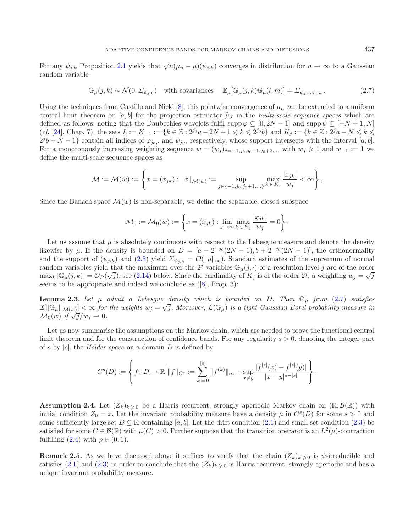For any  $\psi_{j,k}$  Proposition [2.1](#page-3-3) yields that  $\sqrt{n}(\mu_n - \mu)(\psi_{j,k})$  converges in distribution for  $n \to \infty$  to a Gaussian random variable

<span id="page-5-0"></span>
$$
\mathbb{G}_{\mu}(j,k) \sim \mathcal{N}(0,\Sigma_{\psi_{j,k}}) \quad \text{with covariances} \quad \mathbb{E}_{\mu}[\mathbb{G}_{\mu}(j,k)\mathbb{G}_{\mu}(l,m)] = \Sigma_{\psi_{j,k},\psi_{l,m}}.\tag{2.7}
$$

Using the techniques from Castillo and Nickl [\[8\]](#page-29-21), this pointwise convergence of  $\mu_n$  can be extended to a uniform central limit theorem on [a, b] for the projection estimator  $\hat{\mu}_J$  in the *multi-scale sequence spaces* which are defined as follows: noting that the Daubechies wavelets fulfil supp  $\varphi \subseteq [0, 2N - 1]$  and supp  $\psi \subseteq [-N + 1, N]$ (*cf.* [\[24](#page-29-27)], Chap. 7), the sets  $L := K_{-1} := \{k \in \mathbb{Z} : 2^{j_0}a - 2N + 1 \leq k \leq 2^{j_0}b\}$  and  $K_j := \{k \in \mathbb{Z} : 2^ja - N \leq k \leq 2^{j_0}b\}$  $2^{j}b + N - 1$ } contain all indices of  $\varphi_{j_0}$ , and  $\psi_{j, \cdot}$ , respectively, whose support intersects with the interval [a, b]. For a monotonously increasing weighting sequence  $w = (w_j)_{j=-1,j_0,j_0+1,j_0+2,...}$  with  $w_j \geq 1$  and  $w_{-1} := 1$  we define the multi-scale sequence spaces as

$$
\mathcal{M} := \mathcal{M}(w) := \left\{ x = (x_{jk}) : ||x||_{\mathcal{M}(w)} := \sup_{j \in \{-1, j_0, j_0 + 1, ...\}} \max_{k \in K_j} \frac{|x_{jk}|}{w_j} < \infty \right\},\,
$$

Since the Banach space  $\mathcal{M}(w)$  is non-separable, we define the separable, closed subspace

<span id="page-5-2"></span>
$$
\mathcal{M}_0 := \mathcal{M}_0(w) := \left\{ x = (x_{jk}) : \lim_{j \to \infty} \max_{k \in K_j} \frac{|x_{jk}|}{w_j} = 0 \right\}.
$$

Let us assume that  $\mu$  is absolutely continuous with respect to the Lebesgue measure and denote the density likewise by  $\mu$ . If the density is bounded on  $D = [a - 2^{-j_0}(2N-1), b + 2^{-j_0}(2N-1)]$ , the orthonormality and the support of  $(\psi_{j,k})$  and  $(2.5)$  yield  $\Sigma_{\psi_{j,k}} = \mathcal{O}(\|\mu\|_{\infty})$ . Standard estimates of the supremum of normal random variables yield that the maximum over the  $2<sup>j</sup>$  variables  $\mathbb{G}_{\mu}(j, \cdot)$  of a resolution level j are of the order maxk  $|\mathbb{G}_{\mu}(j,k)| = \mathcal{O}_P(\sqrt{j})$ , see [\(2.14\)](#page-9-0) below. Since the cardinality of  $K_j$  is of the order  $2^j$ , a weighting  $w_j = \sqrt{j}$ seems to be appropriate and indeed we conclude as ([\[8](#page-29-21)], Prop. 3):

<span id="page-5-1"></span>**Lemma 2.3.** Let  $\mu$  *admit a Lebesgue density which is bounded on* D. Then  $\mathbb{G}_{\mu}$  from [\(2.7\)](#page-5-0) satisfies  $\mathbb{E}[\|\mathbb{G}_{\mu}\|_{\mathcal{M}(w)}] < \infty$  for the weights  $w_j = \sqrt{j}$ . Moreover,  $\mathcal{L}(\mathbb{G}_{\mu})$  is a tight Gaussian Borel probability measure in  $\mathcal{M}_0(w)$  *if*  $\sqrt{j}/w_j \to 0$ *.* 

Let us now summarise the assumptions on the Markov chain, which are needed to prove the functional central limit theorem and for the construction of confidence bands. For any regularity  $s > 0$ , denoting the integer part of s by [s], the *H¨older space* on a domain D is defined by

$$
C^{s}(D) := \left\{ f \colon D \to \mathbb{R} \bigg| \|f\|_{C^{s}} := \sum_{k=0}^{[s]} \|f^{(k)}\|_{\infty} + \sup_{x \neq y} \frac{|f^{[s]}(x) - f^{[s]}(y)|}{|x - y|^{s - [s]}} \right\}.
$$

**Assumption 2.4.** Let  $(Z_k)_{k\geqslant 0}$  be a Harris recurrent, strongly aperiodic Markov chain on  $(\mathbb{R}, \mathcal{B}(\mathbb{R}))$  with initial condition  $Z_0 = x$ . Let the invariant probability measure have a density  $\mu$  in  $C<sup>s</sup>(D)$  for some  $s > 0$  and some sufficiently large set  $D \subseteq \mathbb{R}$  containing [a, b]. Let the drift condition [\(2.1\)](#page-3-0) and small set condition [\(2.3\)](#page-3-1) be satisfied for some  $C \in \mathcal{B}(\mathbb{R})$  with  $\mu(C) > 0$ . Further suppose that the transition operator is an  $L^2(\mu)$ -contraction fulfilling  $(2.4)$  with  $\rho \in (0,1)$ .

**Remark 2.5.** As we have discussed above it suffices to verify that the chain  $(Z_k)_{k>0}$  is  $\psi$ -irreducible and satisfies [\(2.1\)](#page-3-0) and [\(2.3\)](#page-3-1) in order to conclude that the  $(Z_k)_{k\geq 0}$  is Harris recurrent, strongly aperiodic and has a unique invariant probability measure.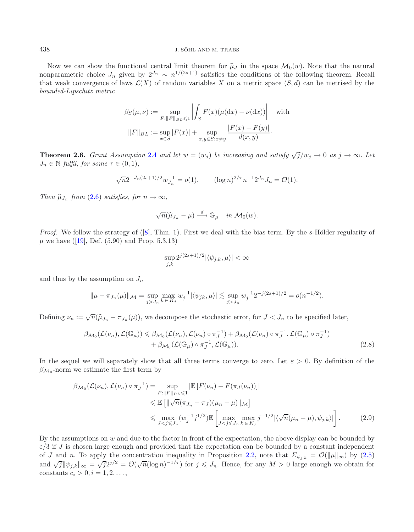#### 438 J. SÖHL AND M. TRABS

Now we can show the functional central limit theorem for  $\hat{\mu}_J$  in the space  $\mathcal{M}_0(w)$ . Note that the natural nonparametric choice  $J_n$  given by  $2^{J_n} \sim n^{1/(2s+1)}$  satisfies the conditions of the following theorem. Recall that weak convergence of laws  $\mathcal{L}(X)$  of random variables X on a metric space  $(S, d)$  can be metrised by the *bounded-Lipschitz metric*

$$
\beta_S(\mu, \nu) := \sup_{F: ||F||_{BL} \le 1} \left| \int_S F(x) (\mu(dx) - \nu(dx)) \right| \quad \text{with}
$$

$$
||F||_{BL} := \sup_{x \in S} |F(x)| + \sup_{x, y \in S: x \ne y} \frac{|F(x) - F(y)|}{d(x, y)}.
$$

<span id="page-6-2"></span>**Theorem 2.6.** *Grant Assumption* [2.4](#page-5-1) *and let*  $w = (w_j)$  *be increasing and satisfy*  $\sqrt{j}/w_j \rightarrow 0$  *as*  $j \rightarrow \infty$ *. Let*  $J_n \in \mathbb{N}$  fulfil, for some  $\tau \in (0,1)$ ,

$$
\sqrt{n}2^{-J_n(2s+1)/2}w_{J_n}^{-1} = o(1), \qquad (\log n)^{2/\tau}n^{-1}2^{J_n}J_n = \mathcal{O}(1).
$$

*Then*  $\widehat{\mu}_{J_n}$  *from* [\(2.6\)](#page-4-2) *satisfies, for*  $n \to \infty$ *,* 

$$
\sqrt{n}(\widehat{\mu}_{J_n}-\mu)\stackrel{d}{\longrightarrow}\mathbb{G}_{\mu}\quad\text{in}\ \mathcal{M}_0(w).
$$

*Proof.* We follow the strategy of ([\[8\]](#page-29-21), Thm. 1). First we deal with the bias term. By the s-Hölder regularity of  $\mu$  we have ([\[19](#page-29-28)], Def. (5.90) and Prop. 5.3.13)

<span id="page-6-1"></span><span id="page-6-0"></span>
$$
\sup_{j,k} 2^{j(2s+1)/2} |\langle \psi_{j,k}, \mu \rangle| < \infty
$$

and thus by the assumption on  $J_n$ 

$$
\|\mu - \pi_{J_n}(\mu)\|_{\mathcal{M}} = \sup_{j>J_n} \max_{k \in K_j} w_j^{-1} |\langle \psi_{jk}, \mu \rangle| \lesssim \sup_{j>J_n} w_j^{-1} 2^{-j(2s+1)/2} = o(n^{-1/2}).
$$

Defining  $\nu_n := \sqrt{n}(\hat{\mu}_{J_n} - \pi_{J_n}(\mu))$ , we decompose the stochastic error, for  $J < J_n$  to be specified later,

$$
\beta_{\mathcal{M}_0}(\mathcal{L}(\nu_n), \mathcal{L}(\mathbb{G}_{\mu})) \leq \beta_{\mathcal{M}_0}(\mathcal{L}(\nu_n), \mathcal{L}(\nu_n) \circ \pi_J^{-1}) + \beta_{\mathcal{M}_0}(\mathcal{L}(\nu_n) \circ \pi_J^{-1}, \mathcal{L}(\mathbb{G}_{\mu}) \circ \pi_J^{-1}) + \beta_{\mathcal{M}_0}(\mathcal{L}(\mathbb{G}_{\mu}) \circ \pi_J^{-1}, \mathcal{L}(\mathbb{G}_{\mu})).
$$
\n(2.8)

In the sequel we will separately show that all three terms converge to zero. Let  $\varepsilon > 0$ . By definition of the  $\beta_{\mathcal{M}_0}$ -norm we estimate the first term by

$$
\beta_{\mathcal{M}_0}(\mathcal{L}(\nu_n), \mathcal{L}(\nu_n) \circ \pi_J^{-1}) = \sup_{F: ||F||_{BL} \le 1} |\mathbb{E}\left[F(\nu_n) - F(\pi_J(\nu_n))\right]|
$$
  
\$\le \mathbb{E}\left[ \|\sqrt{n}(\pi\_{J\_n} - \pi\_J)(\mu\_n - \mu)\|\_{\mathcal{M}} \right] \$  
\$\le \max\_{J < j \le J\_n} (w\_j^{-1}j^{1/2}) \mathbb{E}\left[\max\_{J < j \le J\_n} \max\_{k \in K\_j} j^{-1/2} |\langle \sqrt{n}(\mu\_n - \mu), \psi\_{j,k} \rangle| \right]. \tag{2.9}

By the assumptions on  $w$  and due to the factor in front of the expectation, the above display can be bounded by  $\varepsilon/3$  if J is chosen large enough and provided that the expectation can be bounded by a constant independent of J and n. To apply the concentration inequality in Proposition [2.2,](#page-3-4) note that  $\Sigma_{\psi_{j,k}} = \mathcal{O}(\|\mu\|_{\infty})$  by [\(2.5\)](#page-4-1) and  $\sqrt{j}||\psi_{j,k}||_{\infty} = \sqrt{j}2^{j/2} = \mathcal{O}(\sqrt{n}(\log n)^{-1/\tau})$  for  $j \leq J_n$ . Hence, for any  $M > 0$  large enough we obtain for constants  $c_i > 0, i = 1, 2, \ldots,$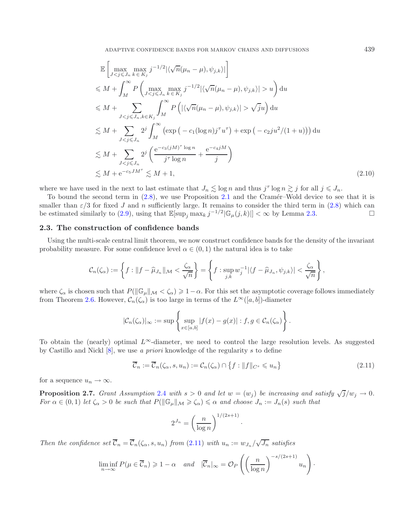ADAPTIVE CONFIDENCE BANDS FOR MARKOV CHAINS AND DIFFUSIONS <sup>439</sup>

$$
\mathbb{E}\left[\max_{Ju\right) du \n\leq M + \sum_{J\sqrt{j}u\right) du \n\leq M + \sum_{J\n(2.10)
$$

where we have used in the next to last estimate that  $J_n \lesssim \log n$  and thus  $j^{\tau} \log n \gtrsim j$  for all  $j \leq J_n$ .

To bound the second term in  $(2.8)$ , we use Proposition [2.1](#page-3-3) and the Cramér–Wold device to see that it is smaller than  $\varepsilon/3$  for fixed J and n sufficiently large. It remains to consider the third term in [\(2.8\)](#page-6-0) which can be estimated similarly to [\(2.9\)](#page-6-1), using that  $\mathbb{E}[\sup_j \max_k j^{-1/2}|\mathbb{G}_{\mu}(j,k)|] < \infty$  by Lemma [2.3.](#page-5-2)

## <span id="page-7-2"></span>**2.3. The construction of confidence bands**

Using the multi-scale central limit theorem, we now construct confidence bands for the density of the invariant probability measure. For some confidence level  $\alpha \in (0,1)$  the natural idea is to take

<span id="page-7-1"></span>
$$
\mathcal{C}_n(\zeta_\alpha) := \left\{ f : \|f - \widehat{\mu}_{J_n}\|_{\mathcal{M}} < \frac{\zeta_\alpha}{\sqrt{n}} \right\} = \left\{ f : \sup_{j,k} w_j^{-1} |\langle f - \widehat{\mu}_{J_n}, \psi_{j,k} \rangle| < \frac{\zeta_\alpha}{\sqrt{n}} \right\},
$$

where  $\zeta_{\alpha}$  is chosen such that  $P(||\mathbb{G}_{\mu}||_{\mathcal{M}} < \zeta_{\alpha}) \geq 1 - \alpha$ . For this set the asymptotic coverage follows immediately from Theorem [2.6.](#page-6-2) However,  $\mathcal{C}_n(\zeta_\alpha)$  is too large in terms of the  $L^\infty([a, b])$ -diameter

<span id="page-7-0"></span>
$$
|\mathcal{C}_n(\zeta_\alpha)|_\infty := \sup \left\{ \sup_{x \in [a,b]} |f(x) - g(x)| : f, g \in \mathcal{C}_n(\zeta_\alpha) \right\}.
$$

To obtain the (nearly) optimal  $L^{\infty}$ -diameter, we need to control the large resolution levels. As suggested by Castillo and Nickl [\[8](#page-29-21)], we use *a priori* knowledge of the regularity s to define

$$
\overline{\mathcal{C}}_n := \overline{\mathcal{C}}_n(\zeta_\alpha, s, u_n) := \mathcal{C}_n(\zeta_\alpha) \cap \{f : ||f||_{C^s} \leq u_n\}
$$
\n(2.11)

·

·

for a sequence  $u_n \to \infty$ .

**Proposition 2.7.** *Grant Assumption* [2.4](#page-5-1) *with*  $s > 0$  *and let*  $w = (w_j)$  *be increasing and satisfy*  $\sqrt{j}/w_j \rightarrow 0$ *. For*  $\alpha \in (0,1)$  *let*  $\zeta_{\alpha} > 0$  *be such that*  $P(||\mathbb{G}_{\mu}||_{\mathcal{M}} \geq \zeta_{\alpha}) \leq \alpha$  *and choose*  $J_n := J_n(s)$  *such that* 

$$
2^{J_n} = \left(\frac{n}{\log n}\right)^{1/(2s+1)}
$$

*Then the confidence set*  $\overline{\mathcal{C}}_n = \overline{\mathcal{C}}_n(\zeta_\alpha, s, u_n)$  *from* [\(2.11\)](#page-7-0) *with*  $u_n := w_{J_n}/\sqrt{J_n}$  *satisfies* 

$$
\liminf_{n \to \infty} P(\mu \in \overline{C}_n) \geq 1 - \alpha \quad \text{and} \quad |\overline{C}_n|_{\infty} = \mathcal{O}_P\left(\left(\frac{n}{\log n}\right)^{-s/(2s+1)} u_n\right)
$$

<span id="page-7-3"></span>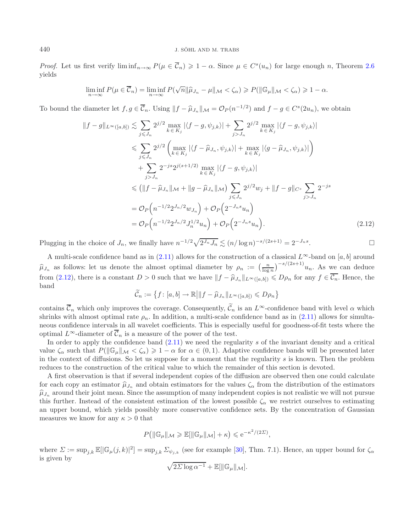*Proof.* Let us first verify  $\liminf_{n\to\infty} P(\mu \in \overline{\mathcal{C}}_n) \geq 1 - \alpha$ . Since  $\mu \in C^s(u_n)$  for large enough n, Theorem [2.6](#page-6-2) yields

<span id="page-8-0"></span>
$$
\liminf_{n\to\infty} P(\mu \in \overline{\mathcal{C}}_n) = \liminf_{n\to\infty} P(\sqrt{n} \|\widehat{\mu}_{J_n} - \mu\|_{\mathcal{M}} < \zeta_\alpha) \geqslant P(\|\mathbb{G}_\mu\|_{\mathcal{M}} < \zeta_\alpha) \geqslant 1 - \alpha.
$$

To bound the diameter let  $f, g \in \overline{\mathcal{C}}_n$ . Using  $||f - \hat{\mu}_{J_n}||_{\mathcal{M}} = \mathcal{O}_P(n^{-1/2})$  and  $f - g \in C^{s}(2u_n)$ , we obtain

$$
||f - g||_{L^{\infty}([a,b])} \lesssim \sum_{j \leq J_n} 2^{j/2} \max_{k \in K_j} |\langle f - g, \psi_{j,k} \rangle| + \sum_{j > J_n} 2^{j/2} \max_{k \in K_j} |\langle f - g, \psi_{j,k} \rangle|
$$
  
\n
$$
\leq \sum_{j \leq J_n} 2^{j/2} \left( \max_{k \in K_j} |\langle f - \hat{\mu}_{J_n}, \psi_{j,k} \rangle| + \max_{k \in K_j} |\langle g - \hat{\mu}_{J_n}, \psi_{j,k} \rangle| \right)
$$
  
\n
$$
+ \sum_{j > J_n} 2^{-js} 2^{j(s+1/2)} \max_{k \in K_j} |\langle f - g, \psi_{j,k} \rangle|
$$
  
\n
$$
\leq (||f - \hat{\mu}_{J_n}||_{\mathcal{M}} + ||g - \hat{\mu}_{J_n}||_{\mathcal{M}}) \sum_{j \leq J_n} 2^{j/2} w_j + ||f - g||_{C^s} \sum_{j > J_n} 2^{-js}
$$
  
\n
$$
= O_P(n^{-1/2} 2^{J_n/2} w_{J_n}) + O_P(2^{-J_n s} u_n)
$$
  
\n
$$
= O_P(n^{-1/2} 2^{J_n/2} J_n^{1/2} u_n) + O_P(2^{-J_n s} u_n).
$$
 (2.12)

Plugging in the choice of  $J_n$ , we finally have  $n^{-1/2}\sqrt{2^{J_n}J_n} \lesssim (n/\log n)^{-s/(2s+1)} = 2^{-J_n s}$ .

A multi-scale confidence band as in  $(2.11)$  allows for the construction of a classical  $L^{\infty}$ -band on [a, b] around  $\hat{\mu}_{J_n}$  as follows: let us denote the almost optimal diameter by  $\rho_n := \left(\frac{n}{\log n}\right)^{-s/(2s+1)} u_n$ . As we can deduce from [\(2.12\)](#page-8-0), there is a constant  $D > 0$  such that we have  $||f - \hat{\mu}_{J_n}||_{L^{\infty}([a,b])} \le D\rho_n$  for any  $f \in \overline{\mathcal{C}_n}$ . Hence, the band

$$
\widetilde{\mathcal{C}}_n := \left\{ f : [a, b] \to \mathbb{R} \middle| \|f - \widehat{\mu}_{J_n}\|_{L^{\infty}([a, b])} \le D\rho_n \right\}
$$

contains  $\overline{C}_n$  which only improves the coverage. Consequently,  $\overline{C}_n$  is an  $L^{\infty}$ -confidence band with level  $\alpha$  which shrinks with almost optimal rate  $\rho_n$ . In addition, a multi-scale confidence band as in [\(2.11\)](#page-7-0) allows for simultaneous confidence intervals in all wavelet coefficients. This is especially useful for goodness-of-fit tests where the optimal  $L^{\infty}$ -diameter of  $\overline{\mathcal{C}}_n$  is a measure of the power of the test.

In order to apply the confidence band  $(2.11)$  we need the regularity s of the invariant density and a critical value  $\zeta_{\alpha}$  such that  $P(\|\mathbb{G}_{\mu}\|_{\mathcal{M}}<\zeta_{\alpha})\geq 1-\alpha$  for  $\alpha\in(0,1)$ . Adaptive confidence bands will be presented later in the context of diffusions. So let us suppose for a moment that the regularity  $s$  is known. Then the problem reduces to the construction of the critical value to which the remainder of this section is devoted.

A first observation is that if several independent copies of the diffusion are observed then one could calculate for each copy an estimator  $\hat{\mu}_{J_n}$  and obtain estimators for the values  $\zeta_\alpha$  from the distribution of the estimators  $\hat{\mu}_{J_n}$  around their joint mean. Since the assumption of many independent copies is not realistic we will not pursue this further. Instead of the consistent estimation of the lowest possible  $\zeta_{\alpha}$  we restrict ourselves to estimating an upper bound, which yields possibly more conservative confidence sets. By the concentration of Gaussian measures we know for any  $\kappa > 0$  that

$$
P(|\!mathbb{G}_{\mu}||_{\mathcal{M}} \geq \mathbb{E}[||\mathbb{G}_{\mu}||_{\mathcal{M}}] + \kappa) \leq e^{-\kappa^2/(2\Sigma)},
$$

where  $\Sigma := \sup_{j,k} \mathbb{E}[|\mathbb{G}_{\mu}(j,k)|^2] = \sup_{j,k} \Sigma_{\psi_{j,k}}$  (see for example [\[30\]](#page-29-29), Thm. 7.1). Hence, an upper bound for  $\zeta_{\alpha}$ is given by

$$
\sqrt{2\Sigma \log \alpha^{-1}} + \mathbb{E}[\|\mathbb{G}_{\mu}\|_{\mathcal{M}}].
$$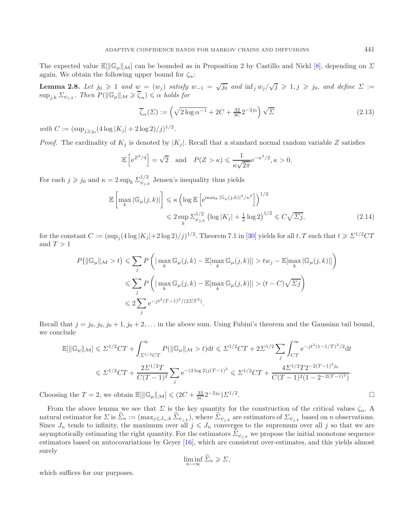The expected value  $\mathbb{E}[\|\mathbb{G}_{\mu}\|_{\mathcal{M}}]$  can be bounded as in Proposition 2 by Castillo and Nickl [\[8\]](#page-29-21), depending on  $\Sigma$ again. We obtain the following upper bound for  $\zeta_{\alpha}$ :

**Lemma 2.8.** *Let*  $j_0 \ge 1$  *and*  $w = (w_j)$  *satisfy*  $w_{-1} = \sqrt{j_0}$  *and*  $\inf_j w_j / \sqrt{j} \ge 1, j \ge j_0$ *, and define*  $\Sigma :=$  $\sup_{j,k} \Sigma_{\psi_{j,k}}$ . Then  $P(||\mathbb{G}_{\mu}||_{\mathcal{M}} \geqslant \overline{\zeta}_{\alpha}) \leqslant \alpha$  holds for

<span id="page-9-1"></span><span id="page-9-0"></span>
$$
\overline{\zeta}_{\alpha}(\Sigma) := \left(\sqrt{2\log \alpha^{-1}} + 2C + \frac{32}{3C} 2^{-2j_0}\right) \sqrt{\Sigma}
$$
\n(2.13)

*with*  $C := (\sup_{j \ge j_0} (4 \log |K_j| + 2 \log 2)/j)^{1/2}$ *.* 

*Proof.* The cardinality of  $K_i$  is denoted by  $|K_i|$ . Recall that a standard normal random variable Z satisfies

$$
\mathbb{E}\left[e^{Z^2/4}\right] = \sqrt{2} \quad \text{and} \quad P(Z > \kappa) \leq \frac{1}{\kappa\sqrt{2\pi}}e^{-\kappa^2/2}, \kappa > 0.
$$

For each  $j \geq j_0$  and  $\kappa = 2 \sup_k \sum_{\psi_{j,k}}^{1/2}$  Jensen's inequality thus yields

$$
\mathbb{E}\left[\max_{k} |\mathbb{G}_{\mu}(j,k)|\right] \leq \kappa \left(\log \mathbb{E}\left[e^{\max_{k} |\mathbb{G}_{\mu}(j,k)|^{2}/\kappa^{2}}\right]\right)^{1/2} \leq 2 \sup_{k} \Sigma_{\psi_{j,k}}^{1/2} \left(\log |K_{j}| + \frac{1}{2} \log 2\right)^{1/2} \leq C\sqrt{\Sigma j},\tag{2.14}
$$

for the constant  $C := (\sup_j (4\log |K_j| + 2\log 2)/j)^{1/2}$ . Theorem 7.1 in [\[30\]](#page-29-29) yields for all  $t, T$  such that  $t \geqslant \Sigma^{1/2}CT$ and  $T > 1$ 

$$
P\left(\|\mathbb{G}_{\mu}\|_{\mathcal{M}} > t\right) \leq \sum_{j} P\left(|\max_{k} \mathbb{G}_{\mu}(j,k) - \mathbb{E}[\max_{k} \mathbb{G}_{\mu}(j,k)]| > tw_j - \mathbb{E}[\max_{k} |\mathbb{G}_{\mu}(j,k)|]\right)
$$
  

$$
\leq \sum_{j} P\left(|\max_{k} \mathbb{G}_{\mu}(j,k) - \mathbb{E}[\max_{k} \mathbb{G}_{\mu}(j,k)]| > (t-C)\sqrt{\Sigma j}\right)
$$
  

$$
\leq 2\sum_{j} e^{-jt^2(T-1)^2/(2\Sigma T^2)}.
$$

Recall that  $j = j_0, j_0, j_0 + 1, j_0 + 2, \ldots$  in the above sum. Using Fubini's theorem and the Gaussian tail bound, we conclude

$$
\mathbb{E}[\|\mathbb{G}_{\mu}\|_{\mathcal{M}}] \leq \Sigma^{1/2}CT + \int_{\Sigma^{1/2}CT}^{\infty} P(\|\mathbb{G}_{\mu}\|_{\mathcal{M}} > t)dt \leq \Sigma^{1/2}CT + 2\Sigma^{1/2} \sum_{j} \int_{CT}^{\infty} e^{-jt^2(1-1/T)^2/2} dt
$$
  

$$
\leq \Sigma^{1/2}CT + \frac{2\Sigma^{1/2}T}{C(T-1)^2} \sum_{j} e^{-(2\log 2)j(T-1)^2} \leq \Sigma^{1/2}CT + \frac{4\Sigma^{1/2}T2^{-2(T-1)^2j_0}}{C(T-1)^2(1-2^{-2(T-1)^2})}.
$$

Choosing the  $T = 2$ , we obtain  $\mathbb{E}[\|\mathbb{G}_{\mu}\|_{\mathcal{M}}] \leq (2C + \frac{32}{3C} 2^{-2j_0}) \Sigma^{1/2}$ .

From the above lemma we see that  $\Sigma$  is the key quantity for the construction of the critical values  $\zeta_{\alpha}$ . A natural estimator for  $\Sigma$  is  $\Sigma_n := (\max_{j \leq J_n, k} \Sigma_{\psi_{j,k}})$ , where  $\Sigma_{\psi_{j,k}}$  are estimators of  $\Sigma_{\psi_{j,k}}$  based on *n* observations.<br>Since  $J_n$  tends to infinity, the maximum over all  $j \leq J_n$  converges to the supremum asymptotically estimating the right quantity. For the estimators  $\Sigma_{\psi_{i,k}}$  we propose the initial monotone sequence estimators based on autocovariations by Geyer [\[16\]](#page-29-23), which are consistent over-estimates, and this yields almost surely

$$
\liminf_{n \to \infty} \Sigma_n \geqslant \Sigma,
$$

which suffices for our purposes.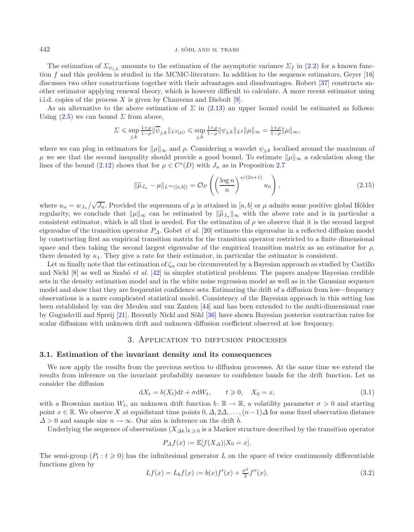#### 442 J. SÖHL AND M. TRABS

The estimation of  $\Sigma_{\psi_{i,k}}$  amounts to the estimation of the asymptotic variance  $\Sigma_f$  in [\(2.2\)](#page-3-2) for a known function  $f$  and this problem is studied in the MCMC-literature. In addition to the sequence estimators, Geyer  $[16]$ discusses two other constructions together with their advantages and disadvantages. Robert [\[37](#page-30-8)] constructs another estimator applying renewal theory, which is however difficult to calculate. A more recent estimator using i.i.d. copies of the process  $X$  is given by Chauveau and Diebolt [\[9\]](#page-29-30).

As an alternative to the above estimation of  $\Sigma$  in [\(2.13\)](#page-9-1) an upper bound could be estimated as follows: Using  $(2.5)$  we can bound  $\Sigma$  from above,

$$
\varSigma\leqslant \sup_{j,k}\tfrac{1+\rho}{1-\rho}\|\overline{\psi}_{j,k}\|_{L^2(\mu)}\leqslant \sup_{j,k}\tfrac{1+\rho}{1-\rho}\|\psi_{j,k}\|_{L^2}\|\mu\|_{\infty}=\tfrac{1+\rho}{1-\rho}\|\mu\|_{\infty},
$$

where we can plug in estimators for  $\|\mu\|_{\infty}$  and  $\rho$ . Considering a wavelet  $\psi_{i,k}$  localised around the maximum of  $\mu$  we see that the second inequality should provide a good bound. To estimate  $\|\mu\|_{\infty}$  a calculation along the lines of the bound [\(2.12\)](#page-8-0) shows that for  $\mu \in C^{s}(D)$  with  $J_n$  as in Proposition [2.7](#page-7-1)

$$
\|\widehat{\mu}_{J_n} - \mu\|_{L^\infty([a,b])} = \mathcal{O}_P\left(\left(\frac{\log n}{n}\right)^{s/(2s+1)} u_n\right),\tag{2.15}
$$

where  $u_n = w_{J_n}/\sqrt{J_n}$ . Provided the supremum of  $\mu$  is attained in [a, b] or  $\mu$  admits some positive global Hölder regularity, we conclude that  $\|\mu\|_{\infty}$  can be estimated by  $\|\widehat{\mu}_{J_n}\|_{\infty}$  with the above rate and is in particular a consistent estimator, which is all that is needed. For the estimation of  $\rho$  we observe that it is the second largest eigenvalue of the transition operator  $P_{\Delta}$ . Gobet *et al.* [\[20\]](#page-29-4) estimate this eigenvalue in a reflected diffusion model by constructing first an empirical transition matrix for the transition operator restricted to a finite dimensional space and then taking the second largest eigenvalue of the empirical transition matrix as an estimator for  $\rho$ , there denoted by  $\kappa_1$ . They give a rate for their estimator, in particular the estimator is consistent.

<span id="page-10-1"></span>Let us finally note that the estimation of  $\zeta_\alpha$  can be circumvented by a Bayesian approach as studied by Castillo and Nickl [\[8](#page-29-21)] as well as Szab´o *et al.* [\[42\]](#page-30-6) in simpler statistical problems. The papers analyse Bayesian credible sets in the density estimation model and in the white noise regression model as well as in the Gaussian sequence model and show that they are frequentist confidence sets. Estimating the drift of a diffusion from low−frequency observations is a more complicated statistical model. Consistency of the Bayesian approach in this setting has been established by van der Meulen and van Zanten [\[44\]](#page-30-4) and has been extended to the multi-dimensional case by Gugushvili and Spreij [\[21](#page-29-31)]. Recently Nickl and Söhl [\[36\]](#page-29-9) have shown Bayesian posterior contraction rates for scalar diffusions with unknown drift and unknown diffusion coefficient observed at low frequency.

#### 3. Application to diffusion processes

### <span id="page-10-0"></span>**3.1. Estimation of the invariant density and its consequences**

We now apply the results from the previous section to diffusion processes. At the same time we extend the results from inference on the invariant probability measure to confidence bands for the drift function. Let us consider the diffusion

$$
dX_t = b(X_t)dt + \sigma dW_t, \qquad t \ge 0, \quad X_0 = x,
$$
\n(3.1)

with a Brownian motion  $W_t$ , an unknown drift function  $b: \mathbb{R} \to \mathbb{R}$ , a volatility parameter  $\sigma > 0$  and starting point  $x \in \mathbb{R}$ . We observe X at equidistant time points  $0, \Delta, 2\Delta, \ldots, (n-1)\Delta$  for some fixed observation distance  $\Delta > 0$  and sample size  $n \to \infty$ . Our aim is inference on the drift b.

Underlying the sequence of observations  $(X_{\Delta k})_k \geq 0$  is a Markov structure described by the transition operator

$$
P_{\Delta}f(x) := \mathbb{E}[f(X_{\Delta})|X_0 = x].
$$

The semi-group  $(P_t : t \geq 0)$  has the infinitesimal generator L on the space of twice continuously differentiable functions given by

$$
Lf(x) = L_b f(x) := b(x) f'(x) + \frac{\sigma^2}{2} f''(x).
$$
\n(3.2)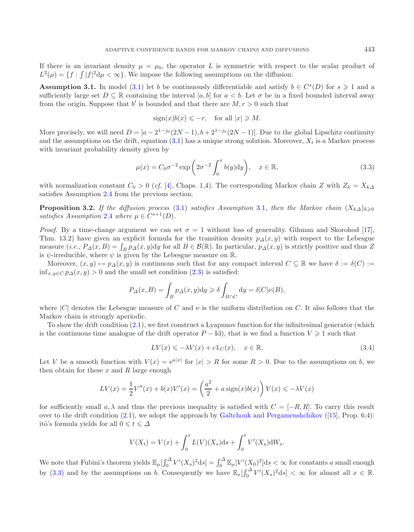If there is an invariant density  $\mu = \mu_b$ , the operator L is symmetric with respect to the scalar product of  $L^2(\mu) = \{f : \int |f|^2 d\mu < \infty\}$ . We impose the following assumptions on the diffusion:

**Assumption 3.1.** In model [\(3.1\)](#page-10-1) let b be continuously differentiable and satisfy  $b \in C^{s}(D)$  for  $s \geq 1$  and a sufficiently large set  $D \subseteq \mathbb{R}$  containing the interval [a, b] for  $a < b$ . Let  $\sigma$  be in a fixed bounded interval away from the origin. Suppose that b' is bounded and that there are  $M, r > 0$  such that

<span id="page-11-1"></span><span id="page-11-0"></span>
$$
sign(x)b(x) \leqslant -r, \quad \text{for all } |x| \geqslant M.
$$

More precisely, we will need  $D = [a - 2^{1-j_0}(2N-1), b + 2^{1-j_0}(2N-1)]$ . Due to the global Lipschitz continuity and the assumptions on the drift, equation  $(3.1)$  has a unique strong solution. Moreover,  $X_t$  is a Markov process with invariant probability density given by

<span id="page-11-2"></span>
$$
\mu(x) = C_0 \sigma^{-2} \exp\left(2\sigma^{-2} \int_0^x b(y) dy\right), \quad x \in \mathbb{R},
$$
\n(3.3)

with normalization constant  $C_0 > 0$  (*cf.* [\[4](#page-29-32)], Chaps. 1,4). The corresponding Markov chain Z with  $Z_k = X_{k\Delta}$ satisfies Assumption [2.4](#page-5-1) from the previous section.

**Proposition 3.2.** *If the diffusion process* [\(3.1\)](#page-10-1) *satisfies Assumption* [3.1](#page-11-0)*, then the Markov chain*  $(X_k \Delta)_{k>0}$ *satisfies Assumption* [2.4](#page-5-1) *where*  $\mu \in C^{s+1}(D)$ *.* 

*Proof.* By a time-change argument we can set  $\sigma = 1$  without loss of generality. Gihman and Skorohod [\[17](#page-29-33)], Thm. 13.2) have given an explicit formula for the transition density  $p_{\Delta}(x, y)$  with respect to the Lebesgue measure  $(i.e., P_\Delta(x, B) = \int_B p_\Delta(x, y) dy$  for all  $B \in \mathcal{B}(\mathbb{R})$ . In particular,  $p_\Delta(x, y)$  is strictly positive and thus Z is  $\psi$ -irreducible, where  $\psi$  is given by the Lebesgue measure on  $\mathbb{R}$ .

Moreover,  $(x, y) \mapsto p_\Delta(x, y)$  is continuous such that for any compact interval  $C \subseteq \mathbb{R}$  we have  $\delta := \delta(C)$  :=  $\inf_{x,y\in C} p_{\Delta}(x,y) > 0$  and the small set condition  $(2.3)$  is satisfied:

$$
P_{\Delta}(x, B) = \int_{B} p_{\Delta}(x, y) dy \ge \delta \int_{B \cap C} dy = \delta |C| \nu(B),
$$

where  $|C|$  denotes the Lebesgue measure of C and  $\nu$  is the uniform distribution on C. It also follows that the Markov chain is strongly aperiodic.

To show the drift condition [\(2.1\)](#page-3-0), we first construct a Lyapunov function for the infinitesimal generator (which is the continuous time analogue of the drift operator  $P - \text{Id}$ , that is we find a function  $V \geq 1$  such that

$$
LV(x) \leqslant -\lambda V(x) + c \mathbb{1}_C(x), \quad x \in \mathbb{R}.\tag{3.4}
$$

Let V be a smooth function with  $V(x)=e^{a|x|}$  for  $|x| > R$  for some  $R > 0$ . Due to the assumptions on b, we then obtain for these  $x$  and  $R$  large enough

$$
LV(x) = \frac{1}{2}V''(x) + b(x)V'(x) = \left(\frac{a^2}{2} + a\operatorname{sign}(x)b(x)\right)V(x) \le -\lambda V(x)
$$

for sufficiently small a,  $\lambda$  and thus the previous inequality is satisfied with  $C = [-R, R]$ . To carry this result over to the drift condition  $(2.1)$ , we adopt the approach by [Galtchouk and Pergamenshchikov](#page-29-34)  $([15]$  $([15]$  $([15]$ , Prop. 6.4): itô's formula yields for all  $0\leqslant t\leqslant\varDelta$ 

$$
V(X_t) = V(x) + \int_0^t L(V)(X_s)ds + \int_0^t V'(X_s)dW_s.
$$

We note that Fubini's theorem yields  $\mathbb{E}_{\mu}[\int_0^{\Delta} V'(X_s)^2 ds] = \int_0^{\Delta} \mathbb{E}_{\mu}[V'(X_0)^2]ds < \infty$  for constants a small enough by [\(3.3\)](#page-11-1) and by the assumptions on b. Consequently we have  $\mathbb{E}_x[\int_0^{\Delta} V'(X_s)^2 ds] < \infty$  for almost all  $x \in \mathbb{R}$ .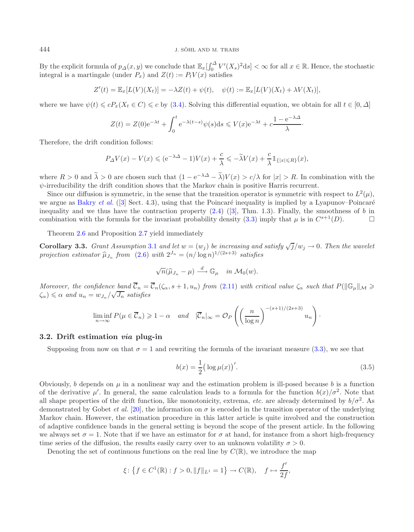#### 444 J. SÖHL AND M. TRABS

By the explicit formula of  $p_{\Delta}(x, y)$  we conclude that  $\mathbb{E}_x[\int_0^{\Delta} V'(X_s)^2 ds] < \infty$  for all  $x \in \mathbb{R}$ . Hence, the stochastic integral is a martingale (under  $P_{\Delta}$ ) and  $Z(t) := P_{\Delta}V(x)$  satisfies integral is a martingale (under  $P_x$ ) and  $Z(t) := P_t V(x)$  satisfies

$$
Z'(t) = \mathbb{E}_x[L(V)(X_t)] = -\lambda Z(t) + \psi(t), \quad \psi(t) := \mathbb{E}_x[L(V)(X_t) + \lambda V(X_t)],
$$

where we have  $\psi(t) \leq cP_x(X_t \in C) \leq c$  by [\(3.4\)](#page-11-2). Solving this differential equation, we obtain for all  $t \in [0, \Delta]$ 

<span id="page-12-0"></span>
$$
Z(t) = Z(0)e^{-\lambda t} + \int_0^t e^{-\lambda(t-s)}\psi(s)ds \leqslant V(x)e^{-\lambda t} + c\frac{1 - e^{-\lambda\Delta}}{\lambda}.
$$

Therefore, the drift condition follows:

$$
P_{\varDelta} V(x) - V(x) \leqslant ( \mathrm{e}^{-\lambda \varDelta} - 1 ) V(x) + \frac{c}{\lambda} \leqslant - \widetilde{\lambda} V(x) + \frac{c}{\lambda} \mathbbm{1}_{ \{ |x| \leqslant R \} }(x),
$$

where  $R > 0$  and  $\tilde{\lambda} > 0$  are chosen such that  $(1 - e^{-\lambda \Delta} - \tilde{\lambda}) V(x) > c/\lambda$  for  $|x| > R$ . In combination with the  $\psi$ -irreducibility the drift condition shows that the Markov chain is positive Harris recurrent.

Since our diffusion is symmetric, in the sense that the transition operator is symmetric with respect to  $L^2(\mu)$ , we argue as [Bakry](#page-29-26) *et al.* ([\[3\]](#page-29-26) Sect. 4.3), using that the Poincaré inequality is implied by a Lyapunov–Poincaré inequality and we thus have the contraction property  $(2.4)$  ([\[3\]](#page-29-26), Thm. 1.3). Finally, the smoothness of b in combination with the formula for the invariant probability density [\(3.3\)](#page-11-1) imply that  $\mu$  is in  $C^{s+1}(D)$ .

Theorem [2.6](#page-6-2) and Proposition [2.7](#page-7-1) yield immediately

**Corollary 3.3.** *Grant Assumption* [3.1](#page-11-0) *and let*  $w = (w_j)$  *be increasing and satisfy*  $\sqrt{j}/w_j \rightarrow 0$ *. Then the wavelet projection estimator*  $\hat{\mu}_{J_n}$  *from* [\(2.6\)](#page-4-2) *with*  $2^{J_n} = (n/\log n)^{1/(2s+3)}$  *satisfies* 

<span id="page-12-1"></span>
$$
\sqrt{n}(\widehat{\mu}_{J_n}-\mu)\stackrel{d}{\longrightarrow}\mathbb{G}_{\mu}\quad\text{in}\ \mathcal{M}_0(w).
$$

*Moreover, the confidence band*  $\overline{\mathcal{C}}_n = \overline{\mathcal{C}}_n(\zeta_\alpha, s+1, u_n)$  *from* [\(2.11\)](#page-7-0) *with critical value*  $\zeta_\alpha$  *such that*  $P(||\mathbb{G}_{\mu}||_{\mathcal{M}} \geq$  $\langle \zeta_{\alpha} \rangle \leq \alpha$  and  $u_n = w_{J_n}/\sqrt{J_n}$  satisfies

$$
\liminf_{n \to \infty} P(\mu \in \overline{\mathcal{C}}_n) \geq 1 - \alpha \quad \text{and} \quad |\overline{\mathcal{C}}_n|_{\infty} = \mathcal{O}_P\left( \left(\frac{n}{\log n}\right)^{-(s+1)/(2s+3)} u_n \right).
$$

## **3.2. Drift estimation** *via* **plug-in**

Supposing from now on that  $\sigma = 1$  and rewriting the formula of the invariant measure [\(3.3\)](#page-11-1), we see that

$$
b(x) = \frac{1}{2} (\log \mu(x))'
$$
 (3.5)

Obviously, b depends on  $\mu$  in a nonlinear way and the estimation problem is ill-posed because b is a function of the derivative  $\mu'$ . In general, the same calculation leads to a formula for the function  $b(x)/\sigma^2$ . Note that all shape properties of the drift function, like monotonicity, extrema, *etc.* are already determined by  $b/\sigma^2$ . As demonstrated by Gobet *et al.* [\[20\]](#page-29-4), the information on  $\sigma$  is encoded in the transition operator of the underlying Markov chain. However, the estimation procedure in this latter article is quite involved and the construction of adaptive confidence bands in the general setting is beyond the scope of the present article. In the following we always set  $\sigma = 1$ . Note that if we have an estimator for  $\sigma$  at hand, for instance from a short high-frequency time series of the diffusion, the results easily carry over to an unknown volatility  $\sigma > 0$ .

Denoting the set of continuous functions on the real line by  $C(\mathbb{R})$ , we introduce the map

$$
\xi\colon \left\{f\in C^1(\mathbb{R}) : f>0, \|f\|_{L^1}=1\right\} \to C(\mathbb{R}), \quad f\mapsto \frac{f'}{2f},
$$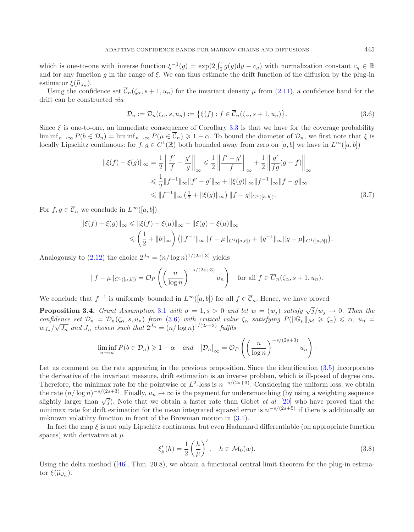<span id="page-13-0"></span>which is one-to-one with inverse function  $\xi^{-1}(g) = \exp(2\int_0^{\cdot} g(y)dy - c_g)$  with normalization constant  $c_g \in \mathbb{R}$ <br>and for any function g in the range of  $\xi$ . We can thus estimate the drift function of the diffusion by th and for any function q in the range of  $\xi$ . We can thus estimate the drift function of the diffusion by the plug-in estimator  $\xi(\widehat{\mu}_{J_n})$ .

Using the confidence set  $\overline{\mathcal{C}}_n(\zeta_\alpha, s+1, u_n)$  for the invariant density  $\mu$  from [\(2.11\)](#page-7-0), a confidence band for the drift can be constructed *via*

<span id="page-13-2"></span>
$$
\mathcal{D}_n := \mathcal{D}_n(\zeta_\alpha, s, u_n) := \{ \xi(f) : f \in \overline{\mathcal{C}}_n(\zeta_\alpha, s+1, u_n) \}. \tag{3.6}
$$

Since  $\xi$  is one-to-one, an immediate consequence of Corollary [3.3](#page-12-0) is that we have for the coverage probability  $\liminf_{n\to\infty} P(b \in \mathcal{D}_n) = \liminf_{n\to\infty} P(\mu \in \mathcal{C}_n) \geq 1-\alpha$ . To bound the diameter of  $\mathcal{D}_n$ , we first note that  $\xi$  is locally Lipschitz continuous: for  $f, g \in C^1(\mathbb{R})$  both bounded away from zero on [a, b] we have in  $L^{\infty}([a, b])$ 

$$
\|\xi(f) - \xi(g)\|_{\infty} = \frac{1}{2} \left\| \frac{f'}{f} - \frac{g'}{g} \right\|_{\infty} \le \frac{1}{2} \left\| \frac{f' - g'}{f} \right\|_{\infty} + \frac{1}{2} \left\| \frac{g'}{fg}(g - f) \right\|_{\infty}
$$
  

$$
\le \frac{1}{2} \|f^{-1}\|_{\infty} \|f' - g'\|_{\infty} + \|\xi(g)\|_{\infty} \|f^{-1}\|_{\infty} \|f - g\|_{\infty}
$$
  

$$
\le \|f^{-1}\|_{\infty} \left(\frac{1}{2} + \|\xi(g)\|_{\infty}\right) \|f - g\|_{C^{1}([a, b])}.
$$
 (3.7)

For  $f,g \in \overline{\mathcal{C}}_n$  we conclude in  $L^{\infty}([a, b])$ 

$$
\begin{aligned} \|\xi(f) - \xi(g)\|_{\infty} &\leq \|\xi(f) - \xi(\mu)\|_{\infty} + \|\xi(g) - \xi(\mu)\|_{\infty} \\ &\leq \left(\frac{1}{2} + \|b\|_{\infty}\right) \left(\|f^{-1}\|_{\infty}\|f - \mu\|_{C^{1}([a,b])} + \|g^{-1}\|_{\infty}\|g - \mu\|_{C^{1}([a,b])}\right). \end{aligned}
$$

Analogously to  $(2.12)$  the choice  $2^{J_n} = (n/\log n)^{1/(2s+3)}$  yields

$$
||f - \mu||_{C^1([a,b])} = \mathcal{O}_P\left(\left(\frac{n}{\log n}\right)^{-s/(2s+3)} u_n\right) \quad \text{for all } f \in \overline{C}_n(\zeta_\alpha, s+1, u_n).
$$

We conclude that  $f^{-1}$  is uniformly bounded in  $L^{\infty}([a, b])$  for all  $f \in \overline{\mathcal{C}}_n$ . Hence, we have proved

**Proposition 3.4.** *Grant Assumption* [3.1](#page-11-0) *with*  $\sigma = 1$ ,  $s > 0$  *and let*  $w = (w_j)$  *satisfy*  $\sqrt{j}/w_j \rightarrow 0$ *. Then the confidence set*  $\mathcal{D}_n = \mathcal{D}_n(\zeta_\alpha, s, u_n)$  *from* [\(3.6\)](#page-13-0) *with critical value*  $\zeta_\alpha$  *satisfying*  $P(||\mathbb{G}_\mu||_\mathcal{M} \geq \zeta_\alpha) \leq \alpha$ ,  $u_n =$  $w_{J_n}/\sqrt{J_n}$  and  $J_n$  *chosen such that*  $2^{J_n} = (n/\log n)^{1/(2s+3)}$  *fulfils* 

<span id="page-13-3"></span>
$$
\liminf_{n \to \infty} P(b \in \mathcal{D}_n) \geq 1 - \alpha \quad and \quad \left| \mathcal{D}_n \right|_{\infty} = \mathcal{O}_P \left( \left( \frac{n}{\log n} \right)^{-s/(2s+3)} u_n \right).
$$

Let us comment on the rate appearing in the previous proposition. Since the identification [\(3.5\)](#page-12-1) incorporates the derivative of the invariant measure, drift estimation is an inverse problem, which is ill-posed of degree one. Therefore, the minimax rate for the pointwise or  $L^2$ -loss is  $n^{-s/(2s+3)}$ . Considering the uniform loss, we obtain the rate  $(n/\log n)^{-s/(2s+3)}$ . Finally,  $u_n \to \infty$  is the payment for undersmoothing (by using a weighting sequence slightly larger than  $\sqrt{j}$ ). Note that we obtain a faster rate than Gobet *et al.* [\[20\]](#page-29-4) who have proved that the minimax rate for drift estimation for the mean integrated squared error is  $n^{-s/(2s+5)}$  if there is additionally an unknown volatility function in front of the Brownian motion in [\(3.1\)](#page-10-1).

In fact the map  $\xi$  is not only Lipschitz continuous, but even Hadamard differentiable (on appropriate function spaces) with derivative at  $\mu$ 

$$
\xi'_{\mu}(h) = \frac{1}{2} \left(\frac{h}{\mu}\right)', \quad h \in \mathcal{M}_0(w). \tag{3.8}
$$

<span id="page-13-1"></span>Using the delta method ([\[46\]](#page-30-9), Thm. 20.8), we obtain a functional central limit theorem for the plug-in estimator  $\xi(\widehat{\mu}_{J_n})$ .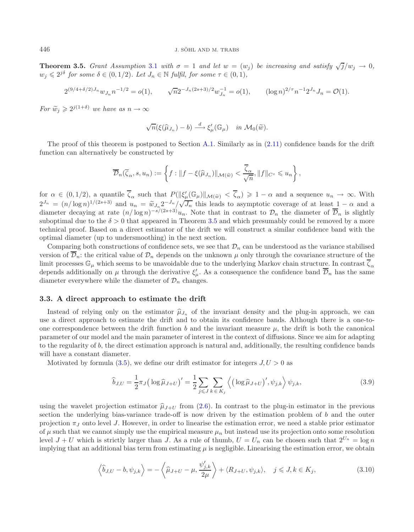**Theorem 3.5.** *Grant Assumption* [3.1](#page-11-0) *with*  $\sigma = 1$  *and let*  $w = (w_i)$  *be increasing and satisfy*  $\sqrt{j}/w_i \rightarrow 0$ *,*  $w_i \leq 2^{j\delta}$  for some  $\delta \in (0, 1/2)$ *. Let*  $J_n \in \mathbb{N}$  fulfil, for some  $\tau \in (0, 1)$ *,* 

$$
2^{(9/4+\delta/2)J_n}w_{J_n}n^{-1/2} = o(1), \qquad \sqrt{n}2^{-J_n(2s+3)/2}w_{J_n}^{-1} = o(1), \qquad (\log n)^{2/\tau}n^{-1}2^{J_n}J_n = \mathcal{O}(1).
$$

*For*  $\widetilde{w}_j \geq 2^{j(1+\delta)}$  *we have as*  $n \to \infty$ 

$$
\sqrt{n}(\xi(\widehat{\mu}_{J_n})-b) \stackrel{d}{\longrightarrow} \xi_{\mu}'(\mathbb{G}_{\mu}) \quad in \ \mathcal{M}_0(\widetilde{w}).
$$

The proof of this theorem is postponed to Section [A.1.](#page-25-0) Similarly as in [\(2.11\)](#page-7-0) confidence bands for the drift function can alternatively be constructed by

<span id="page-14-0"></span>
$$
\overline{\mathcal{D}}_n(\overline{\zeta}_{\alpha}, s, u_n) := \left\{ f : \|f - \xi(\widehat{\mu}_{J_n})\|_{\mathcal{M}(\widetilde{w})} < \frac{\overline{\zeta}_{\alpha}}{\sqrt{n}}, \|f\|_{C^s} \leqslant u_n \right\},\
$$

for  $\alpha \in (0, 1/2)$ , a quantile  $\overline{\zeta}_{\alpha}$  such that  $P(\|\xi'_{\mu}(\mathbb{G}_{\mu})\|_{\mathcal{M}(\tilde{w})} < \overline{\zeta}_{\alpha}) \geq 1 - \alpha$  and a sequence  $u_n \to \infty$ . With  $2^{J_n} = (n/\log n)^{1/(2s+3)}$  and  $u_n = \tilde{w}_{J_n} 2^{-J_n} / \sqrt{J_n}$  this leads to asymptotic coverage of at least  $1 - \alpha$  and a diameter decaying at rate  $(n/\log n)^{-s/(2s+3)}$ . Note that in contrast to  $\mathcal{D}$ , the diameter of  $\overline{\mathcal{D}}$  i diameter decaying at rate  $(n/\log n)^{-s/(2s+3)}u_n$ . Note that in contrast to  $\mathcal{D}_n$  the diameter of  $\overline{\mathcal{D}}_n$  is slightly suboptimal due to the  $\delta > 0$  that appeared in Theorem [3.5](#page-13-1) and which presumably could be removed by a more technical proof. Based on a direct estimator of the drift we will construct a similar confidence band with the optimal diameter (up to undersmoothing) in the next section.

Comparing both constructions of confidence sets, we see that  $\mathcal{D}_n$  can be understood as the variance stabilised version of  $\overline{\mathcal{D}}_n$ : the critical value of  $\mathcal{D}_n$  depends on the unknown  $\mu$  only through the covariance structure of the limit processes  $\mathbb{G}_{\mu}$  which seems to be unavoidable due to the underlying Markov chain structure. In contrast  $\overline{\zeta}_{\alpha}$ depends additionally on  $\mu$  through the derivative  $\xi'_\mu$ . As a consequence the confidence band  $\overline{\mathcal{D}}_n$  has the same diameter everywhere while the diameter of  $\mathcal{D}_n$  changes.

#### **3.3. A direct approach to estimate the drift**

Instead of relying only on the estimator  $\hat{\mu}_{J_n}$  of the invariant density and the plug-in approach, we can use a direct approach to estimate the drift and to obtain its confidence bands. Although there is a one-toone correspondence between the drift function b and the invariant measure  $\mu$ , the drift is both the canonical parameter of our model and the main parameter of interest in the context of diffusions. Since we aim for adapting to the regularity of b, the direct estimation approach is natural and, additionally, the resulting confidence bands will have a constant diameter.

<span id="page-14-1"></span>Motivated by formula  $(3.5)$ , we define our drift estimator for integers  $J, U > 0$  as

$$
\widehat{b}_{J,U} = \frac{1}{2}\pi_J \left(\log \widehat{\mu}_{J+U}\right)' = \frac{1}{2} \sum_{j \leq J} \sum_{k \in K_j} \left\langle \left(\log \widehat{\mu}_{J+U}\right)', \psi_{j,k} \right\rangle \psi_{j,k},\tag{3.9}
$$

using the wavelet projection estimator  $\hat{\mu}_{J+U}$  from [\(2.6\)](#page-4-2). In contrast to the plug-in estimator in the previous section the underlying bias-variance trade-off is now driven by the estimation problem of  $b$  and the outer projection  $\pi_J$  onto level J. However, in order to linearise the estimation error, we need a stable prior estimator of  $\mu$  such that we cannot simply use the empirical measure  $\mu_n$  but instead use its projection onto some resolution level  $J + U$  which is strictly larger than J. As a rule of thumb,  $U = U_n$  can be chosen such that  $2^{U_n} = \log n$ implying that an additional bias term from estimating  $\mu$  is negligible. Linearising the estimation error, we obtain

$$
\left\langle \widehat{b}_{J,U} - b, \psi_{j,k} \right\rangle = -\left\langle \widehat{\mu}_{J+U} - \mu, \frac{\psi'_{j,k}}{2\mu} \right\rangle + \left\langle R_{J+U}, \psi_{j,k} \right\rangle, \quad j \le J, k \in K_j,
$$
\n(3.10)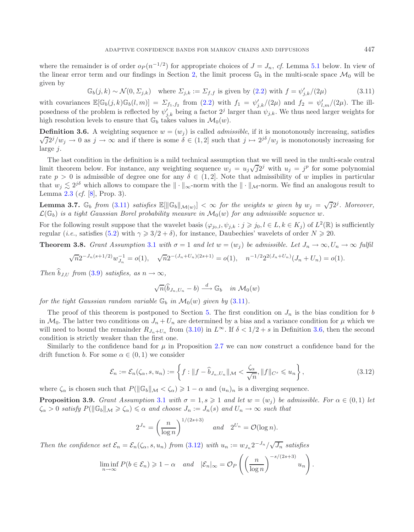<span id="page-15-0"></span>where the remainder is of order  $o_P(n^{-1/2})$  for appropriate choices of  $J = J_n$ , *cf.* Lemma [5.1](#page-20-0) below. In view of the linear error term and our findings in Section [2,](#page-2-0) the limit process  $\mathbb{G}_b$  in the multi-scale space  $\mathcal{M}_0$  will be given by

<span id="page-15-1"></span>
$$
\mathbb{G}_b(j,k) \sim \mathcal{N}(0,\Sigma_{j,k}) \quad \text{where } \Sigma_{j,k} := \Sigma_{f,f} \text{ is given by (2.2) with } f = \psi'_{j,k}/(2\mu) \tag{3.11}
$$

with covariances  $\mathbb{E}[\mathbb{G}_b(j,k)\mathbb{G}_b(l,m)] = \sum_{f_1,f_2}$  from  $(2.2)$  with  $f_1 = \psi'_{j,k}/(2\mu)$  and  $f_2 = \psi'_{l,m}/(2\mu)$ . The illposedness of the problem is reflected by  $\psi'_{j,k}$  being a factor  $2^j$  larger than  $\psi_{j,k}$ . We thus need larger weights for high resolution levels to ensure that  $\mathbb{G}_b$  takes values in  $\mathcal{M}_0(w)$ .

**Definition 3.6.** A weighting sequence  $w = (w_j)$  is called *admissible*, if it is monotonously increasing, satisfies  $\sqrt{j}2^{j}/w_{j} \to 0$  as  $j \to \infty$  and if there is some  $\delta \in (1, 2]$  such that  $j \mapsto 2^{j\delta}/w_{j}$  is monotonously increasing for large *i*.

The last condition in the definition is a mild technical assumption that we will need in the multi-scale central limit theorem below. For instance, any weighting sequence  $w_j = u_j \sqrt{j} 2^j$  with  $u_j = j^p$  for some polynomial rate  $p > 0$  is admissible of degree one for any  $\delta \in (1, 2]$ . Note that admissibility of w implies in particular that  $w_j \lesssim 2^{j\delta}$  which allows to compare the  $\|\cdot\|_{\infty}$ -norm with the  $\|\cdot\|_{\mathcal{M}}$ -norm. We find an analogous result to Lemma [2.3](#page-5-2) (*cf.* [\[8\]](#page-29-21), Prop. 3).

**Lemma 3.7.** G<sub>b</sub> from [\(3.11\)](#page-15-0) satisfies  $\mathbb{E}[\|\mathbb{G}_b\|_{\mathcal{M}(w)}] < \infty$  for the weights w given by  $w_j = \sqrt{j}2^j$ . Moreover,  $\mathcal{L}(\mathbb{G}_b)$  *is a tight Gaussian Borel probability measure in*  $\mathcal{M}_0(w)$  *for any admissible sequence* w.

For the following result suppose that the wavelet basis  $(\varphi_{j_0,l}, \psi_{j,k} : j \geq j_0, l \in L, k \in K_j)$  of  $L^2(\mathbb{R})$  is sufficiently regular (*i.e.*, satisfies [\(5.2\)](#page-21-0) with  $\gamma \geqslant 3/2 + \delta$ ), for instance, Daubechies' wavelets of order  $N \geqslant 20$ .

**Theorem 3.8.** *Grant Assumption* [3.1](#page-11-0) *with*  $\sigma = 1$  *and let*  $w = (w_j)$  *be admissible. Let*  $J_n \to \infty$ ,  $U_n \to \infty$  *fulfil* 

$$
\sqrt{n}2^{-J_n(s+1/2)}w_{J_n}^{-1} = o(1), \quad \sqrt{n}2^{-(J_n+U_n)(2s+1)} = o(1), \quad n^{-1/2}2^{2(J_n+U_n)}(J_n+U_n) = o(1).
$$

*Then*  $\hat{b}_{JJ}$  *from* [\(3.9\)](#page-14-0) *satisfies, as*  $n \to \infty$ *,* 

<span id="page-15-4"></span><span id="page-15-3"></span><span id="page-15-2"></span>
$$
\sqrt{n}(\widehat{b}_{J_n,U_n}-b) \stackrel{d}{\longrightarrow} \mathbb{G}_b \quad in \ \mathcal{M}_0(w)
$$

*for the tight Gaussian random variable*  $\mathbb{G}_b$  *in*  $\mathcal{M}_0(w)$  *given by* [\(3.11\)](#page-15-0).

The proof of this theorem is postponed to Section [5.](#page-19-0) The first condition on  $J_n$  is the bias condition for b in  $\mathcal{M}_0$ . The latter two conditions on  $J_n + U_n$  are determined by a bias and a variance condition for  $\mu$  which we will need to bound the remainder  $R_{J_n+U_n}$  from [\(3.10\)](#page-14-1) in  $L^{\infty}$ . If  $\delta < 1/2 + s$  in Definition [3.6,](#page-15-1) then the second condition is strictly weaker than the first one.

Similarly to the confidence band for  $\mu$  in Proposition [2.7](#page-7-1) we can now construct a confidence band for the drift function b. For some  $\alpha \in (0,1)$  we consider

$$
\mathcal{E}_n := \mathcal{E}_n(\zeta_\alpha, s, u_n) := \left\{ f : \|f - \widehat{b}_{J_n, U_n}\|_{\mathcal{M}} < \frac{\zeta_\alpha}{\sqrt{n}}, \|f\|_{C^s} \leqslant u_n \right\},\tag{3.12}
$$

where  $\zeta_{\alpha}$  is chosen such that  $P(||\mathbb{G}_b||_{\mathcal{M}} < \zeta_{\alpha}) \geq 1 - \alpha$  and  $(u_n)_n$  is a diverging sequence.

**Proposition 3.9.** *Grant Assumption* [3.1](#page-11-0) *with*  $\sigma = 1, s \geq 1$  *and let*  $w = (w_j)$  *be admissible. For*  $\alpha \in (0,1)$  *let*  $\zeta_{\alpha} > 0$  *satisfy*  $P(||\mathbb{G}_b||_{\mathcal{M}} \geq \zeta_{\alpha}) \leq \alpha$  *and choose*  $J_n := J_n(s)$  *and*  $U_n \to \infty$  *such that* 

$$
2^{J_n} = \left(\frac{n}{\log n}\right)^{1/(2s+3)} \quad \text{and} \quad 2^{U_n} = \mathcal{O}(\log n).
$$

*Then the confidence set*  $\mathcal{E}_n = \mathcal{E}_n(\zeta_\alpha, s, u_n)$  *from* [\(3.12\)](#page-15-2) *with*  $u_n := w_{J_n} 2^{-J_n}/\sqrt{J_n}$  *satisfies* 

$$
\liminf_{n \to \infty} P(b \in \mathcal{E}_n) \geq 1 - \alpha \quad \text{and} \quad |\mathcal{E}_n|_{\infty} = \mathcal{O}_P\left(\left(\frac{n}{\log n}\right)^{-s/(2s+3)} u_n\right).
$$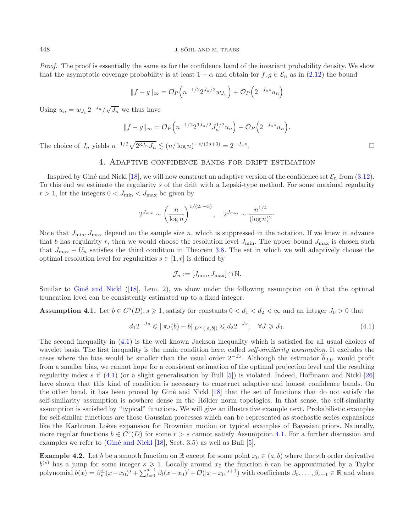*Proof.* The proof is essentially the same as for the confidence band of the invariant probability density. We show that the asymptotic coverage probability is at least  $1 - \alpha$  and obtain for  $f, g \in \mathcal{E}_n$  as in [\(2.12\)](#page-8-0) the bound

$$
||f-g||_{\infty} = \mathcal{O}_P\left(n^{-1/2}2^{J_n/2}w_{J_n}\right) + \mathcal{O}_P\left(2^{-J_n s}u_n\right)
$$

Using  $u_n = w_{J_n} 2^{-J_n} / \sqrt{J_n}$  we thus have

$$
||f - g||_{\infty} = O_P\left(n^{-1/2} 2^{3J_n/2} J_n^{1/2} u_n\right) + O_P\left(2^{-J_n s} u_n\right).
$$

<span id="page-16-0"></span>The choice of  $J_n$  yields  $n^{-1/2}\sqrt{2^{3J_n}J_n} \lesssim (n/\log n)^{-s/(2s+3)} = 2^{-J_n s}$ .

## 4. Adaptive confidence bands for drift estimation

Inspired by Giné and Nickl [\[18\]](#page-29-17), we will now construct an adaptive version of the confidence set  $\mathcal{E}_n$  from [\(3.12\)](#page-15-2). To this end we estimate the regularity s of the drift with a Lepski-type method. For some maximal regularity  $r > 1$ , let the integers  $0 < J_{\text{min}} < J_{\text{max}}$  be given by

<span id="page-16-2"></span>
$$
2^{J_{\min}} \sim \left(\frac{n}{\log n}\right)^{1/(2r+3)}, \quad 2^{J_{\max}} \sim \frac{n^{1/4}}{(\log n)^2}.
$$

Note that  $J_{\text{min}}$ ,  $J_{\text{max}}$  depend on the sample size n, which is suppressed in the notation. If we knew in advance that b has regularity r, then we would choose the resolution level  $J_{\text{min}}$ . The upper bound  $J_{\text{max}}$  is chosen such that  $J_{\text{max}} + U_n$  satisfies the third condition in Theorem [3.8.](#page-15-3) The set in which we will adaptively choose the optimal resolution level for regularities  $s \in [1, r]$  is defined by

$$
\mathcal{J}_n := [J_{\min}, J_{\max}] \cap \mathbb{N}.
$$

Similar to Giné and Nickl ([\[18\]](#page-29-17), Lem. 2), we show under the following assumption on b that the optimal truncation level can be consistently estimated up to a fixed integer.

**Assumption 4.1.** Let  $b \in C^{s}(D)$ ,  $s \geq 1$ , satisfy for constants  $0 < d_1 < d_2 < \infty$  and an integer  $J_0 > 0$  that

$$
d_1 2^{-Js} \leq \|\pi_J(b) - b\|_{L^\infty([a,b])} \leq d_2 2^{-Js}, \quad \forall J \geq J_0. \tag{4.1}
$$

The second inequality in [\(4.1\)](#page-16-1) is the well known Jackson inequality which is satisfied for all usual choices of wavelet basis. The first inequality is the main condition here, called *self-similarity assumption*. It excludes the cases where the bias would be smaller than the usual order  $2^{-Js}$ . Although the estimator  $\hat{b}_{J,U}$  would profit from a smaller bias, we cannot hope for a consistent estimation of the optimal projection level and the resulting regularity index s if [\(4.1\)](#page-16-1) (or a slight generalisation by Bull [\[5](#page-29-35)]) is violated. Indeed, Hoffmann and Nickl [\[26\]](#page-29-18) have shown that this kind of condition is necessary to construct adaptive and honest confidence bands. On the other hand, it has been proved by Giné and Nickl [\[18\]](#page-29-17) that the set of functions that do not satisfy the self-similarity assumption is nowhere dense in the Hölder norm topologies. In that sense, the self-similarity assumption is satisfied by "typical" functions. We will give an illustrative example next. Probabilistic examples for self-similar functions are those Gaussian processes which can be represented as stochastic series expansions like the Karhunen–Loève expansion for Brownian motion or typical examples of Bayesian priors. Naturally, more regular functions  $b \in C^r(D)$  for some  $r>s$  cannot satisfy Assumption [4.1.](#page-16-2) For a further discussion and examples we refer to  $(Giné and Nickl [18], Sect. 3.5)$  $(Giné and Nickl [18], Sect. 3.5)$  $(Giné and Nickl [18], Sect. 3.5)$  as well as Bull [\[5](#page-29-35)].

**Example 4.2.** Let b be a smooth function on R except for some point  $x_0 \in (a, b)$  where the sth order derivative  $b^{(s)}$  has a jump for some integer  $s \geq 1$ . Locally around  $x_0$  the function b can be approximated by a Taylor polynomial  $b(x) = \beta_s^{\pm}(x-x_0)^s + \sum_{l=0}^{s-1} \beta_l(x-x_0)^l + \mathcal{O}(|x-x_0|^{s+1})$  with coefficients  $\beta_0, \ldots, \beta_{s-1} \$ 

<span id="page-16-1"></span>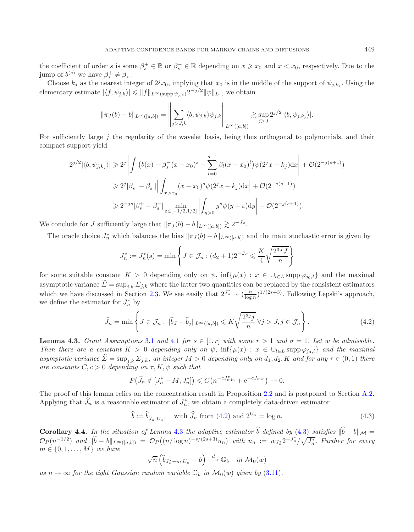the coefficient of order s is some  $\beta_s^+ \in \mathbb{R}$  or  $\beta_s^- \in \mathbb{R}$  depending on  $x \geq x_0$  and  $x < x_0$ , respectively. Due to the jump of  $b^{(s)}$  we have  $\beta_s^+ \neq \beta_s^-$ .

Choose  $k_j$  as the nearest integer of  $2^j x_0$ , implying that  $x_0$  is in the middle of the support of  $\psi_{j,k_j}$ . Using the elementary estimate  $|\langle f, \psi_{j,k} \rangle| \leq ||f||_{L^{\infty}(\text{supp }\psi_{j,k})} 2^{-j/2} ||\psi||_{L^{1}},$  we obtain

$$
\|\pi_J(b)-b\|_{L^{\infty}([a,b])}=\left\|\sum_{j>J,k}\langle b,\psi_{j,k}\rangle\psi_{j,k}\right\|_{L^{\infty}([a,b])}\gtrsim \sup_{j>J}2^{j/2}|\langle b,\psi_{j,k_j}\rangle|.
$$

For sufficiently large j the regularity of the wavelet basis, being thus orthogonal to polynomials, and their compact support yield

<span id="page-17-0"></span>
$$
2^{j/2} |\langle b, \psi_{j,k_j} \rangle| \geq 2^j \left| \int \left( b(x) - \beta_s^-(x - x_0)^s + \sum_{l=0}^{s-1} \beta_l (x - x_0)^l \right) \psi(2^j x - k_j) dx \right| + \mathcal{O}(2^{-j(s+1)})
$$
  
\n
$$
\geq 2^j |\beta_s^+ - \beta_s^-| \left| \int_{x > x_0} (x - x_0)^s \psi(2^j x - k_j) dx \right| + \mathcal{O}(2^{-j(s+1)})
$$
  
\n
$$
\geq 2^{-js} |\beta_s^+ - \beta_s^-| \min_{\varepsilon \in [-1/2, 1/2]} \left| \int_{y > 0} y^s \psi(y + \varepsilon) dy \right| + \mathcal{O}(2^{-j(s+1)}).
$$

We conclude for J sufficiently large that  $\|\pi_J(b) - b\|_{L^\infty([a,b])} \gtrsim 2^{-Js}$ .

The oracle choice  $J_n^*$  which balances the bias  $\|\pi_J(b) - b\|_{L^\infty([a,b])}$  and the main stochastic error is given by

<span id="page-17-2"></span>
$$
J_n^* := J_n^*(s) = \min \left\{ J \in \mathcal{J}_n : (d_2 + 1)2^{-Js} \leq \frac{K}{4} \sqrt{\frac{2^{3J} J}{n}} \right\}
$$

for some suitable constant  $K > 0$  depending only on  $\psi$ , inf $\{\mu(x) : x \in \bigcup_{l \in L} \text{supp } \varphi_{j_0, l}\}\$ and the maximal asymptotic variance  $\tilde{\Sigma} = \sup_{j,k} \Sigma_{j,k}$  where the latter two quantities can be replaced by the consistent estimators which we have discussed in Section [2.3.](#page-7-2) We see easily that  $2^{J_n^*} \sim (\frac{n}{\log n})^{1/(2s+3)}$ . Following Lepski's approach, we define the estimator for  $J^*$  by we define the estimator for  $J_n^*$  by

$$
\widehat{J}_n = \min \left\{ J \in \mathcal{J}_n : \|\widehat{b}_J - \widehat{b}_j\|_{L^\infty([a,b])} \leqslant K \sqrt{\frac{2^{3j}j}{n}} \,\forall j > J, j \in \mathcal{J}_n \right\}.\tag{4.2}
$$

<span id="page-17-1"></span>**Lemma 4.3.** *Grant Assumptions* [3.1](#page-11-0) *and* [4.1](#page-16-2) *for*  $s \in [1, r]$  *with some*  $r > 1$  *and*  $\sigma = 1$ *. Let* w *be admissible. Then there are a constant*  $K > 0$  *depending only on*  $\psi$ , inf $\{\mu(x) : x \in \bigcup_{l \in L} \text{supp } \varphi_{j_0, l}\}\$  and the maximal *asymptotic variance*  $\Sigma = \sup_{i,k} \Sigma_{j,k}$ , an integer  $M > 0$  depending only on  $d_1, d_2, K$  and for any  $\tau \in (0,1)$  there *are constants*  $C, c > 0$  *depending on*  $\tau, K, \psi$  *such that* 

$$
P(\widehat{J}_n \notin [J_n^* - M, J_n^*]) \leq C\left(n^{-cJ_{\min}^+} + e^{-cJ_{\min}}\right) \to 0.
$$

The proof of this lemma relies on the concentration result in Proposition [2.2](#page-3-4) and is postponed to Section [A.2.](#page-26-0) Applying that  $\widehat{J}_n$  is a reasonable estimator of  $J_n^*$ , we obtain a completely data-driven estimator

$$
\hat{b} := \hat{b}_{\hat{J}_n, U_n}, \quad \text{with } \hat{J}_n \text{ from (4.2) and } 2^{U_n} = \log n. \tag{4.3}
$$

<span id="page-17-3"></span>**Corollary 4.4.** *In the situation of Lemma* [4.3](#page-17-1) *the adaptive estimator* b *defined by* [\(4.3\)](#page-17-2) *satisfies*  $||b - b||_{\mathcal{M}} =$  $\mathcal{O}_P(n^{-1/2})$  and  $\|\hat{b} - b\|_{L^{\infty}([a,b])} = \mathcal{O}_P((n/\log n)^{-s/(2s+3)}u_n)$  with  $u_n := w_{J_n^*} 2^{-J_n^*}/\sqrt{J_n^*}$ . Further for every  $m \in \{0, 1, \ldots, M\}$  *we have* 

$$
\sqrt{n}\left(\widehat{b}_{J_n^* - m, U_n} - b\right) \stackrel{d}{\longrightarrow} \mathbb{G}_b \quad in \ \mathcal{M}_0(w)
$$

*as*  $n \to \infty$  *for the tight Gaussian random variable*  $\mathbb{G}_b$  *in*  $\mathcal{M}_0(w)$  *given by* [\(3.11\)](#page-15-0)*.*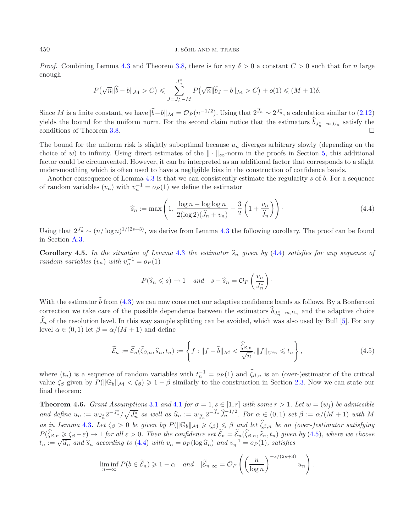#### 450 J. SÖHL AND M. TRABS

*Proof.* Combining Lemma [4.3](#page-17-1) and Theorem [3.8,](#page-15-3) there is for any  $\delta > 0$  a constant  $C > 0$  such that for n large enough

<span id="page-18-0"></span>
$$
P(\sqrt{n} \|\widehat{b} - b\|_{\mathcal{M}} > C) \leqslant \sum_{J=J_n^* - M}^{J_n^*} P(\sqrt{n} \|\widehat{b}_J - b\|_{\mathcal{M}} > C) + o(1) \leqslant (M+1)\delta.
$$

Since M is a finite constant, we have  $\|b-b\|_{\mathcal{M}} = \mathcal{O}_P(n^{-1/2})$ . Using that  $2^{J_n} \sim 2^{J_n^*}$ , a calculation similar to [\(2.12\)](#page-8-0) yields the bound for the uniform norm. For the second claim notice that the estimators  $b_{J_n^*-m,U_n}$  satisfy the conditions of Theorem [3.8.](#page-15-3)

<span id="page-18-2"></span>The bound for the uniform risk is slightly suboptimal because  $u_n$  diverges arbitrary slowly (depending on the choice of w) to infinity. Using direct estimates of the  $\|\cdot\|_{\infty}$ -norm in the proofs in Section [5,](#page-19-0) this additional factor could be circumvented. However, it can be interpreted as an additional factor that corresponds to a slight undersmoothing which is often used to have a negligible bias in the construction of confidence bands.

Another consequence of Lemma [4.3](#page-17-1) is that we can consistently estimate the regularity s of b. For a sequence of random variables  $(v_n)$  with  $v_n^{-1} = o_P(1)$  we define the estimator

<span id="page-18-1"></span>
$$
\widehat{s}_n := \max\left(1, \frac{\log n - \log \log n}{2(\log 2)(\widehat{J}_n + v_n)} - \frac{3}{2}\left(1 + \frac{v_n}{\widehat{J}_n}\right)\right). \tag{4.4}
$$

Using that  $2^{J_n^*} \sim (n/\log n)^{1/(2s+3)}$ , we derive from Lemma [4.3](#page-17-1) the following corollary. The proof can be found in Section [A.3.](#page-28-0)

**Corollary 4.5.** In the situation of Lemma [4.3](#page-17-1) the estimator  $\hat{s}_n$  given by [\(4.4\)](#page-18-0) satisfies for any sequence of *random variables*  $(v_n)$  *with*  $v_n^{-1} = o_P(1)$ 

$$
P(\widehat{s}_n \leqslant s) \to 1
$$
 and  $s - \widehat{s}_n = \mathcal{O}_P\left(\frac{v_n}{J_n^*}\right)$ .

<span id="page-18-3"></span>With the estimator  $\hat{b}$  from [\(4.3\)](#page-17-2) we can now construct our adaptive confidence bands as follows. By a Bonferroni correction we take care of the possible dependence between the estimators  $b_{J_n^*-m,U_n}$  and the adaptive choice  $J_n$  of the resolution level. In this way sample splitting can be avoided, which was also used by Bull [\[5\]](#page-29-35). For any  $\beta_n$  of the resolution level. In this way sample<br>level  $\alpha \in (0,1)$  let  $\beta = \alpha/(M+1)$  and define

$$
\widetilde{\mathcal{E}}_n := \widetilde{\mathcal{E}}_n(\widehat{\zeta}_{\beta,n}, \widehat{s}_n, t_n) := \left\{ f : \|f - \widehat{b}\|_{\mathcal{M}} < \frac{\widehat{\zeta}_{\beta,n}}{\sqrt{n}}, \|f\|_{C^{\widehat{s}_n}} \leqslant t_n \right\},\tag{4.5}
$$

where  $(t_n)$  is a sequence of random variables with  $t_n^{-1} = o_P(1)$  and  $\zeta_{\beta,n}$  is an (over-)estimator of the critical value  $\zeta_{\beta}$  given by  $P(||\mathbb{G}_b||_{\mathcal{M}} < \zeta_{\beta}) \geq 1 - \beta$  similarly to the construction in Section [2.3.](#page-7-2) Now we can state our final theorem:

**Theorem 4.6.** *Grant Assumptions* [3.1](#page-11-0) *and* [4.1](#page-16-2) *for*  $\sigma = 1$ ,  $s \in [1, r]$  *with some*  $r > 1$ *. Let*  $w = (w_i)$  *be admissible and define*  $u_n := w_{J_n^*} 2^{-J_n^*} / \sqrt{J_n^*}$  *as well as*  $\widehat{u}_n := w_{\widehat{J}_n} 2^{-\widehat{J}_n} \widehat{J}_n^{-1/2}$ . For  $\alpha \in (0,1)$  set  $\beta := \alpha/(M+1)$  with M  $as \text{ in Lemma 4.3.}$  $as \text{ in Lemma 4.3.}$  $as \text{ in Lemma 4.3.}$  Let  $\zeta_{\beta} > 0$  *be given by*  $P(||\mathbb{G}_b||_{\mathcal{M}} \geq \zeta_{\beta}) \leq \beta$  and let  $\widehat{\zeta}_{\beta,n}$  *be an (over-)estimator satisfying*  $P(\zeta_{\beta,n} \geq \zeta_{\beta} - \varepsilon) \to 1$  for all  $\varepsilon > 0$ . Then the confidence set  $\mathcal{E}_n = \mathcal{E}_n(\zeta_{\beta,n}, \widehat{s}_n, t_n)$  given by [\(4.5\)](#page-18-1), where we choose  $t \to \sqrt{\widehat{u}}$  and  $\widehat{s}$  according to (4.4) with  $v_n = \alpha_0 (\log \widehat{u})$  and  $v^{-1} = \$  $t_n := \sqrt{\hat{u}_n}$  and  $\hat{s}_n$  according to [\(4.4\)](#page-18-0) with  $v_n = o_P(\log \hat{u}_n)$  and  $v_n^{-1} = o_P(1)$ , satisfies

$$
\liminf_{n \to \infty} P(b \in \widetilde{\mathcal{E}}_n) \geq 1 - \alpha \quad \text{and} \quad |\widetilde{\mathcal{E}}_n|_{\infty} = \mathcal{O}_P\left( \left(\frac{n}{\log n}\right)^{-s/(2s+3)} u_n \right).
$$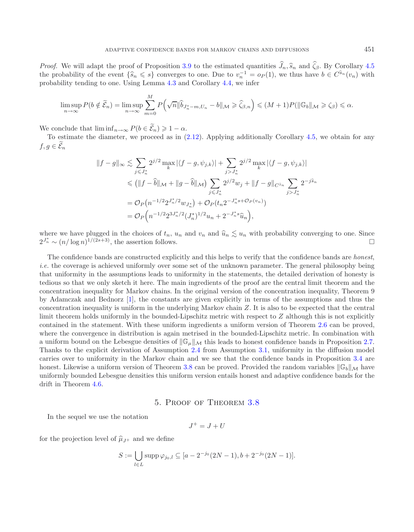*Proof.* We will adapt the proof of Proposition [3.9](#page-15-4) to the estimated quantities  $J_n$ ,  $\widehat{s}_n$  and  $\zeta_\beta$ . By Corollary [4.5](#page-18-2) *Proof.* We will adapt the proof of Proposition 3.9 to the estimated quantities  $J_n$ ,  $\widehat{s}_n$  and  $\zeta_\beta$ . By Corollary 4.5 the probability of the event  $\{\widehat{s}_n \leq s\}$  converges to one. Due to  $v_n^{-1} = o_P(1)$ , we thus h probability tending to one. Using Lemma [4.3](#page-17-1) and Corollary [4.4,](#page-17-3) we infer

$$
\limsup_{n\to\infty} P(b \notin \widetilde{\mathcal{E}}_n) = \limsup_{n\to\infty} \sum_{m=0}^M P\left(\sqrt{n} \|\widehat{b}_{J_n^*-m,U_n} - b\|_{\mathcal{M}} \ge \widehat{\zeta}_{\beta,n}\right) \le (M+1)P(\|\mathbb{G}_b\|_{\mathcal{M}} \ge \zeta_{\beta}) \le \alpha.
$$

We conclude that  $\liminf_{n\to\infty} P(b \in \mathcal{E}_n) \geq 1-\alpha$ .

To estimate the diameter, we proceed as in  $(2.12)$ . Applying additionally Corollary [4.5,](#page-18-2) we obtain for any  $f,g\in\mathcal{E}_n$ 

$$
||f - g||_{\infty} \lesssim \sum_{j \leq J_n^*} 2^{j/2} \max_{k} |\langle f - g, \psi_{j,k} \rangle| + \sum_{j > J_n^*} 2^{j/2} \max_{k} |\langle f - g, \psi_{j,k} \rangle|
$$
  

$$
\leq (||f - \hat{b}||_{\mathcal{M}} + ||g - \hat{b}||_{\mathcal{M}}) \sum_{j \leq J_n^*} 2^{j/2} w_j + ||f - g||_{C^{\hat{s}_n}} \sum_{j > J_n^*} 2^{-j\hat{s}_n}
$$
  

$$
= \mathcal{O}_P(n^{-1/2} 2^{J_n^* / 2} w_{J_n^*}) + \mathcal{O}_P(t_n 2^{-J_n^* s + \mathcal{O}_P(v_n)})
$$
  

$$
= \mathcal{O}_P(n^{-1/2} 2^{3J_n^* / 2} (J_n^*)^{1/2} u_n + 2^{-J_n^* s} \hat{u}_n),
$$

where we have plugged in the choices of  $t_n$ ,  $u_n$  and  $v_n$  and  $\hat{u}_n \leq u_n$  with probability converging to one. Since  $2^{J_n^*} \sim (n/\log n)^{1/(2s+3)}$ , the assertion follows.  $2^{J_n^*} \sim (n/\log n)^{1/(2s+3)}$ , the assertion follows.

The confidence bands are constructed explicitly and this helps to verify that the confidence bands are *honest*, *i.e.* the coverage is achieved uniformly over some set of the unknown parameter. The general philosophy being that uniformity in the assumptions leads to uniformity in the statements, the detailed derivation of honesty is tedious so that we only sketch it here. The main ingredients of the proof are the central limit theorem and the concentration inequality for Markov chains. In the original version of the concentration inequality, Theorem 9 by Adamczak and Bednorz [\[1\]](#page-29-22), the constants are given explicitly in terms of the assumptions and thus the concentration inequality is uniform in the underlying Markov chain Z. It is also to be expected that the central limit theorem holds uniformly in the bounded-Lipschitz metric with respect to Z although this is not explicitly contained in the statement. With these uniform ingredients a uniform version of Theorem [2.6](#page-6-2) can be proved, where the convergence in distribution is again metrised in the bounded-Lipschitz metric. In combination with a uniform bound on the Lebesgue densities of  $\|\mathbb{G}_{\mu}\|_{\mathcal{M}}$  this leads to honest confidence bands in Proposition [2.7.](#page-7-1) Thanks to the explicit derivation of Assumption [2.4](#page-5-1) from Assumption [3.1,](#page-11-0) uniformity in the diffusion model carries over to uniformity in the Markov chain and we see that the confidence bands in Proposition [3.4](#page-13-2) are honest. Likewise a uniform version of Theorem [3.8](#page-15-3) can be proved. Provided the random variables  $\|\mathbb{G}_b\|_{\mathcal{M}}$  have uniformly bounded Lebesgue densities this uniform version entails honest and adaptive confidence bands for the drift in Theorem [4.6.](#page-18-3)

## 5. Proof of Theorem [3.8](#page-15-3)

<span id="page-19-0"></span>In the sequel we use the notation

$$
J^+ = J + U
$$

for the projection level of  $\hat{\mu}_{J^+}$  and we define

$$
S := \bigcup_{l \in L} \operatorname{supp} \varphi_{j_0, l} \subseteq [a - 2^{-j_0} (2N - 1), b + 2^{-j_0} (2N - 1)].
$$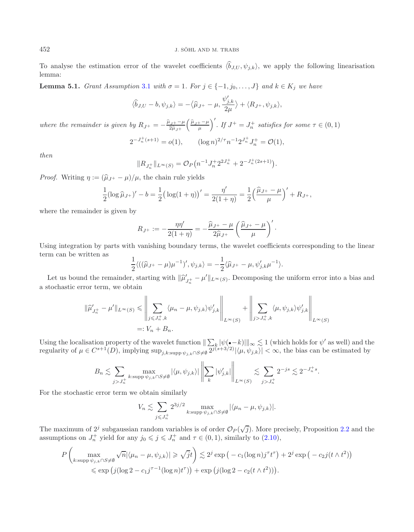<span id="page-20-0"></span>To analyse the estimation error of the wavelet coefficients  $\langle \hat{b}_{J,U}, \psi_{j,k} \rangle$ , we apply the following linearisation lemma:

**Lemma 5.1.** *Grant Assumption* [3.1](#page-11-0) *with*  $\sigma = 1$ *. For*  $j \in \{-1, j_0, \ldots, J\}$  *and*  $k \in K_j$  *we have* 

$$
\langle \widehat{b}_{J,U} - b, \psi_{j,k} \rangle = -\langle \widehat{\mu}_{J^+} - \mu, \frac{\psi'_{j,k}}{2\mu} \rangle + \langle R_{J^+}, \psi_{j,k} \rangle,
$$

*where the remainder is given by*  $R_{J^+} = -\frac{\hat{\mu}_{J^+} - \mu}{2\hat{\mu}_{J^+}}$  $\left(\frac{\hat{\mu}_{J^+}-\mu}{\mu}\right)'$ . If  $J^+=J_n^+$  satisfies for some  $\tau \in (0,1)$ 

$$
2^{-J_n^+(s+1)} = o(1), \qquad (\log n)^{2/\tau} n^{-1} 2^{J_n^+} J_n^+ = \mathcal{O}(1),
$$

*then*

$$
||R_{J_n^+}||_{L^{\infty}(S)} = \mathcal{O}_P(n^{-1}J_n^+ 2^{2J_n^+} + 2^{-J_n^+(2s+1)}).
$$

*Proof.* Writing  $\eta := (\hat{\mu}_{J^+} - \mu)/\mu$ , the chain rule yields

$$
\frac{1}{2}(\log \widehat{\mu}_{J+})' - b = \frac{1}{2}(\log(1+\eta))' = \frac{\eta'}{2(1+\eta)} = \frac{1}{2}\left(\frac{\widehat{\mu}_{J+} - \mu}{\mu}\right)' + R_{J+},
$$

where the remainder is given by

$$
R_{J^+} := -\frac{\eta \eta'}{2(1+\eta)} = -\frac{\widehat{\mu}_{J^+} - \mu}{2\widehat{\mu}_{J^+}} \left( \frac{\widehat{\mu}_{J^+} - \mu}{\mu} \right)'.
$$

Using integration by parts with vanishing boundary terms, the wavelet coefficients corresponding to the linear term can be written as

$$
\frac{1}{2}\langle ((\hat{\mu}_{J^+} - \mu)\mu^{-1})', \psi_{j,k} \rangle = -\frac{1}{2}\langle \hat{\mu}_{J^+} - \mu, \psi'_{j,k} \mu^{-1} \rangle.
$$

Let us bound the remainder, starting with  $\|\hat{\mu}'_{J_n^+} - \mu'\|_{L^\infty(S)}$ . Decomposing the uniform error into a bias and the characteris error term, we obtain a stochastic error term, we obtain

$$
\begin{aligned} \|\widehat{\mu}'_{J_n^+} - \mu' \|_{L^\infty(S)} &\leq \left\| \sum_{j \leq J_n^+,k} \langle \mu_n - \mu, \psi_{j,k} \rangle \psi'_{j,k} \right\|_{L^\infty(S)} + \left\| \sum_{j > J_n^+,k} \langle \mu, \psi_{j,k} \rangle \psi'_{j,k} \right\|_{L^\infty(S)} \\ &=: V_n + B_n. \end{aligned}
$$

Using the localisation property of the wavelet function  $\|\sum_{k} |\psi({\bullet}-k)|\|_{\infty} \lesssim 1$  (which holds for  $\psi'$  as well) and the regularity of  $\mu \in C^{s+1}(D)$ , implying  $\sup_{j,k:\text{supp }\psi_{j,k}\cap S\neq\emptyset} 2^{j(s+3/2)}|\langle \mu, \psi_{j,k}\rangle| < \infty$ , the bias can be estimated by

$$
B_n \lesssim \sum_{j>J_n^+} \max_{k: \text{supp}\,\psi_{j,k} \cap S \neq \emptyset} |\langle \mu, \psi_{j,k} \rangle| \left\| \sum_k |\psi'_{j,k}| \right\|_{L^{\infty}(S)} \lesssim \sum_{j>J_n^+} 2^{-js} \lesssim 2^{-J_n^+ s}.
$$

For the stochastic error term we obtain similarly

$$
V_n \lesssim \sum_{j \leq J_n^+} 2^{3j/2} \max_{k: \text{supp }\psi_{j,k} \cap S \neq \emptyset} |\langle \mu_n - \mu, \psi_{j,k} \rangle|.
$$

The maximum of  $2^j$  subgaussian random variables is of order  $\mathcal{O}_P(\sqrt{j})$ . More precisely, Proposition [2.2](#page-3-4) and the assumptions on  $J_n^+$  yield for any  $j_0 \leqslant j \leqslant J_n^+$  and  $\tau \in (0,1)$ , similarly to  $(2.10)$ ,

$$
P\left(\max_{k:\text{supp}\,\psi_{j,k}\cap S\neq\emptyset}\sqrt{n}|\langle\mu_n-\mu,\psi_{j,k}\rangle|\geqslant \sqrt{j}t\right)\lesssim 2^j\exp\big(-c_1(\log n)j^\tau t^\tau\big)+2^j\exp\big(-c_2j(t\wedge t^2)\big)
$$
  
\$\leqslant \exp\big(j(\log 2-c\_1j^{\tau-1}(\log n)t^\tau)\big)+\exp\big(j(\log 2-c\_2(t\wedge t^2))\big).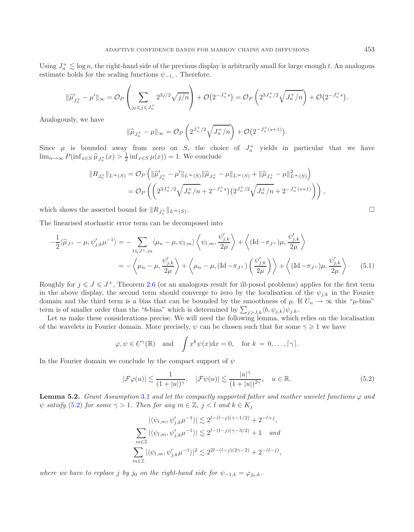Using  $J_n^+ \lesssim \log n$ , the right-hand side of the previous display is arbitrarily small for large enough t. An analogous estimate holds for the scaling functions  $\psi_{-1}$ . Therefore,

$$
\|\widehat{\mu}'_{J_n^+} - \mu'\|_{\infty} = \mathcal{O}_P\left(\sum_{j_0 \leqslant j \leqslant J_n^+} 2^{3j/2} \sqrt{j/n}\right) + \mathcal{O}\big(2^{-J_n^+ s}\big) = \mathcal{O}_P\left(2^{3J_n^+ / 2} \sqrt{J_n^+ / n}\right) + \mathcal{O}\big(2^{-J_n^+ s}\big).
$$

Analogously, we have

$$
\|\widehat{\mu}_{J_n^+} - \mu\|_{\infty} = \mathcal{O}_P\left(2^{J_n^+/2}\sqrt{J_n^+/n}\right) + \mathcal{O}\big(2^{-J_n^+(s+1)}\big).
$$

Since  $\mu$  is bounded away from zero on S, the choice of  $J_n^+$  yields in particular that we have  $\lim_{n\to\infty} P(\inf_{x\in S} \hat{\mu}_{J_n^+}(x) > \frac{1}{2} \inf_{x\in S} \mu(x)) = 1$ . We conclude

$$
||R_{J_n^+}||_{L^{\infty}(S)} = \mathcal{O}_P \left( ||\widehat{\mu}_{J_n^+}' - \mu'||_{L^{\infty}(S)} ||\widehat{\mu}_{J_n^+} - \mu||_{L^{\infty}(S)} + ||\widehat{\mu}_{J_n^+} - \mu||_{L^{\infty}(S)}^2 \right)
$$
  
= 
$$
\mathcal{O}_P \left( \left( 2^{3J_n^+ / 2} \sqrt{J_n^+ / n} + 2^{-J_n^+ s} \right) \left( 2^{J_n^+ / 2} \sqrt{J_n^+ / n} + 2^{-J_n^+ (s+1)} \right) \right),
$$

which shows the asserted bound for  $||R_{I^{\pm}}||_{L^{\infty}(S)}$ .  $\frac{1}{n}$   $\left\| L^{\infty}(S) \right\|$ 

The linearised stochastic error term can be decomposed into

$$
-\frac{1}{2}\langle \widehat{\mu}_{J^{+}} - \mu, \psi'_{j,k}\mu^{-1} \rangle = -\sum_{l \leq J^{+}, m} \langle \mu_{n} - \mu, \psi_{l,m} \rangle \left\langle \psi_{l,m}, \frac{\psi'_{j,k}}{2\mu} \right\rangle + \left\langle (\text{Id} - \pi_{J^{+}})\mu, \frac{\psi'_{j,k}}{2\mu} \right\rangle
$$
  
=  $-\left\langle \mu_{n} - \mu, \frac{\psi'_{j,k}}{2\mu} \right\rangle + \left\langle \mu_{n} - \mu, (\text{Id} - \pi_{J^{+}})\left(\frac{\psi'_{j,k}}{2\mu}\right) \right\rangle + \left\langle (\text{Id} - \pi_{J^{+}})\mu, \frac{\psi'_{j,k}}{2\mu} \right\rangle.$  (5.1)

Roughly for  $j \leq J \leq J^+$ , Theorem [2.6](#page-6-2) (or an analogous result for ill-posed problems) applies for the first term in the above display, the second term should converge to zero by the localisation of the  $\psi_{i,k}$  in the Fourier domain and the third term is a bias that can be bounded by the smoothness of  $\mu$ . If  $U_n \to \infty$  this " $\mu$ -bias" term is of smaller order than the "b-bias" which is determined by  $\sum_{j>J,k} \langle b, \psi_{j,k} \rangle \psi_{j,k}$ .

Let us make these considerations precise. We will need the following lemma, which relies on the localisation of the wavelets in Fourier domain. More precisely,  $\psi$  can be chosen such that for some  $\gamma \geqslant 1$  we have

<span id="page-21-0"></span>
$$
\varphi, \psi \in C^{\gamma}(\mathbb{R})
$$
 and  $\int x^k \psi(x) dx = 0$ , for  $k = 0, ..., [\gamma]$ .

In the Fourier domain we conclude by the compact support of  $\psi$ 

$$
|\mathcal{F}\varphi(u)| \lesssim \frac{1}{(1+|u|)^{\gamma}}, \quad |\mathcal{F}\psi(u)| \lesssim \frac{|u|^{\gamma}}{(1+|u|)^{2\gamma}}, \quad u \in \mathbb{R}.
$$
 (5.2)

<span id="page-21-2"></span>**Lemma 5.2.** *Grant Assumption* [3.1](#page-11-0) *and let the compactly supported father and mother wavelet functions*  $\varphi$  *and*  $\psi$  *satisfy* [\(5.2\)](#page-21-0) *for some*  $\gamma > 1$ *. Then for any*  $m \in \mathbb{Z}$ *,*  $j < l$  *and*  $k \in K_j$ 

$$
|\langle \psi_{l,m}, \psi'_{j,k}\mu^{-1}\rangle| \lesssim 2^{l-(l-j)(\gamma-1/2)} + 2^{-l+j},
$$
  

$$
\sum_{m\in\mathbb{Z}} |\langle \psi_{l,m}, \psi'_{j,k}\mu^{-1}\rangle| \lesssim 2^{l-(l-j)(\gamma-3/2)} + 1 \quad and
$$
  

$$
\sum_{m\in\mathbb{Z}} |\langle \psi_{l,m}, \psi'_{j,k}\mu^{-1}\rangle|^{2} \lesssim 2^{2l-(l-j)(2\gamma-2)} + 2^{-(l-j)},
$$

*where we have to replace* j *by* j<sub>0</sub> *on the right-hand side for*  $\psi_{-1,k} = \varphi_{j_0,k}$ *.* 

<span id="page-21-1"></span>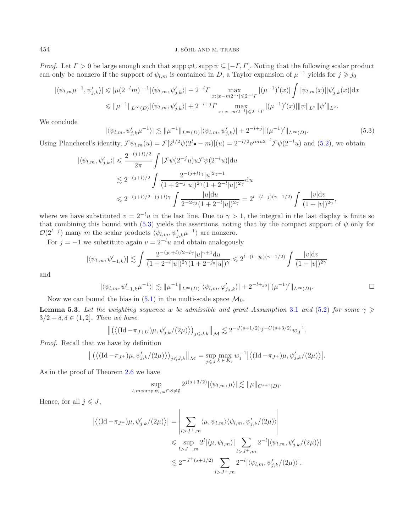<span id="page-22-0"></span>*Proof.* Let  $\Gamma > 0$  be large enough such that supp  $\varphi \cup$ supp  $\psi \subseteq [-\Gamma, \Gamma]$ . Noting that the following scalar product can only be nonzero if the support of  $\psi_{l,m}$  is contained in D, a Taylor expansion of  $\mu^{-1}$  yields for  $j \geq j_0$ 

$$
|\langle \psi_{l,m}\mu^{-1}, \psi'_{j,k}\rangle| \leq |\mu(2^{-l}m)|^{-1} |\langle \psi_{l,m}, \psi'_{j,k}\rangle| + 2^{-l} \Gamma \max_{x:|x-m2^{-l}|\leqslant 2^{-l} \Gamma} |(\mu^{-1})'(x)| \int |\psi_{l,m}(x)| |\psi'_{j,k}(x)| dx
$$
  

$$
\leq |\mu^{-1}||_{L^{\infty}(D)} |\langle \psi_{l,m}, \psi'_{j,k}\rangle| + 2^{-l+j} \Gamma \max_{x:|x-m2^{-l}|\leqslant 2^{-l} \Gamma} |(\mu^{-1})'(x)| |\psi||_{L^{2}} |\psi'||_{L^{2}}.
$$

We conclude

<span id="page-22-1"></span>
$$
|\langle \psi_{l,m}, \psi'_{j,k} \mu^{-1} \rangle| \lesssim \|\mu^{-1}\|_{L^{\infty}(D)} |\langle \psi_{l,m}, \psi'_{j,k} \rangle| + 2^{-l+j} \|(\mu^{-1})'\|_{L^{\infty}(D)}.
$$
\n(5.3)

Using Plancherel's identity,  $\mathcal{F}\psi_{l,m}(u) = \mathcal{F}[2^{l/2}\psi(2^l \bullet - m)](u) = 2^{-l/2} e^{imu2^{-l}} \mathcal{F}\psi(2^{-l}u)$  and [\(5.2\)](#page-21-0), we obtain

$$
\begin{split} |\langle \psi_{l,m}, \psi'_{j,k} \rangle| &\leqslant \frac{2^{-(j+l)/2}}{2\pi} \int |\mathcal{F}\psi(2^{-j}u)u\mathcal{F}\psi(2^{-l}u)| \mathrm{d}u \\ &\leqslant 2^{-(j+l)/2} \int \frac{2^{-(j+l)\gamma}|u|^{2\gamma+1}}{(1+2^{-j}|u|)^{2\gamma}(1+2^{-l}|u|)^{2\gamma}} \mathrm{d}u \\ &\leqslant 2^{-(j+l)/2-(j+l)\gamma} \int \frac{|u| \mathrm{d}u}{2^{-2\gamma j}(1+2^{-l}|u|)^{2\gamma}} = 2^{l-(l-j)(\gamma-1/2)} \int \frac{|v| \mathrm{d}v}{(1+|v|)^{2\gamma}}, \end{split}
$$

where we have substituted  $v = 2^{-l}u$  in the last line. Due to  $\gamma > 1$ , the integral in the last display is finite so that combining this bound with [\(5.3\)](#page-22-0) yields the assertions, noting that by the compact support of  $\psi$  only for  $\mathcal{O}(2^{l-j})$  many m the scalar products  $\langle \psi_{l,m}, \psi'_{j,k} \mu^{-1} \rangle$  are nonzero.

For  $j = -1$  we substitute again  $v = 2^{-l}u$  and obtain analogously

$$
|\langle \psi_{l,m}, \psi'_{-1,k} \rangle| \lesssim \int \frac{2^{-(j_0+l)/2 - l\gamma} |u|^{\gamma+1} du}{(1 + 2^{-l}|u|)^{2\gamma} (1 + 2^{-j_0}|u|)^{\gamma}} \leq 2^{l - (l - j_0)(\gamma - 1/2)} \int \frac{|v| dv}{(1 + |v|)^{2\gamma}}
$$

and

$$
|\langle \psi_{l,m}, \psi'_{-1,k}\mu^{-1}\rangle| \lesssim \|\mu^{-1}\|_{L^{\infty}(D)} |\langle \psi_{l,m}, \varphi'_{j_0,k}\rangle| + 2^{-l+j_0} \|(\mu^{-1})'\|_{L^{\infty}(D)}.
$$

Now we can bound the bias in [\(5.1\)](#page-21-1) in the multi-scale space  $\mathcal{M}_0$ .

**Lemma 5.3.** *Let the weighting sequence* w *be admissible and grant Assumption* [3.1](#page-11-0) *and* [\(5.2\)](#page-21-0) *for some*  $\gamma \geqslant$  $3/2 + \delta, \delta \in (1, 2]$ *. Then we have* 

$$
\left\| \left( \left\langle (\mathrm{Id}-\pi_{J+U})\mu, \psi_{j,k}'/(2\mu) \right\rangle \right)_{j \leq J,k} \right\|_{\mathcal{M}} \lesssim 2^{-J(s+1/2)} 2^{-U(s+3/2)} w_J^{-1}.
$$

*Proof.* Recall that we have by definition

$$
\left\| \left( \left\langle (\mathrm{Id}-\pi_{J^+})\mu, \psi'_{j,k}/(2\mu) \right\rangle \right)_{j \leq J,k} \right\|_{\mathcal{M}} = \sup_{j \leq J} \max_{k \in K_j} w_j^{-1} \left| \left\langle (\mathrm{Id}-\pi_{J^+})\mu, \psi'_{j,k}/(2\mu) \right\rangle \right|.
$$

As in the proof of Theorem [2.6](#page-6-2) we have

$$
\sup_{l,m:\text{supp }\psi_{l,m}\cap S\neq\emptyset} 2^{j(s+3/2)}|\langle\psi_{l,m},\mu\rangle| \lesssim \|\mu\|_{C^{s+1}(D)}.
$$

Hence, for all  $j \leqslant J$ ,

$$
\left| \langle (\mathrm{Id}-\pi_{J^+})\mu, \psi'_{j,k}/(2\mu) \rangle \right| = \left| \sum_{l>J^+,m} \langle \mu, \psi_{l,m} \rangle \langle \psi_{l,m}, \psi'_{j,k}/(2\mu) \rangle \right|
$$
  

$$
\leq \sup_{l>J^+,m} 2^l |\langle \mu, \psi_{l,m} \rangle| \sum_{l>J^+,m} 2^{-l} |\langle \psi_{l,m}, \psi'_{j,k}/(2\mu) \rangle|
$$
  

$$
\lesssim 2^{-J^+(s+1/2)} \sum_{l>J^+,m} 2^{-l} |\langle \psi_{l,m}, \psi'_{j,k}/(2\mu) \rangle|.
$$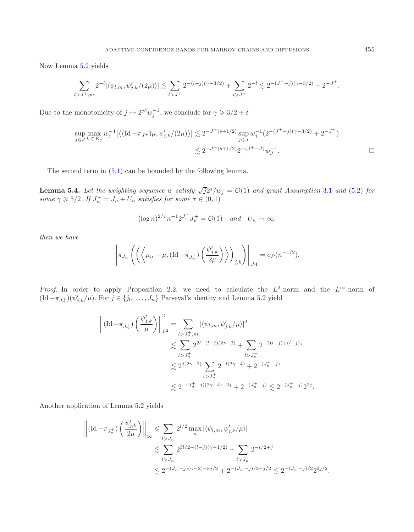Now Lemma [5.2](#page-21-2) yields

<span id="page-23-0"></span>
$$
\sum_{l>J^+,m} 2^{-l} |\langle \psi_{l,m}, \psi'_{j,k}/(2\mu) \rangle| \lesssim \sum_{l>J^+} 2^{-(l-j)(\gamma-3/2)} + \sum_{l>J^+} 2^{-l} \lesssim 2^{-(J^+-j)(\gamma-3/2)} + 2^{-J^+}.
$$

Due to the monotonicity of  $j \mapsto 2^{j\delta} w_j^{-1}$ , we conclude for  $\gamma \geq 3/2 + \delta$ 

$$
\sup_{j \leq J} \max_{k \in K_j} w_j^{-1} \left| \left\langle (\text{Id} - \pi_{J^+}) \mu, \psi'_{j,k} / (2\mu) \right\rangle \right| \lesssim 2^{-J^+(s+1/2)} \sup_{j \leq J} w_j^{-1} (2^{-(J^+-j)(\gamma-3/2)} + 2^{-J^+})
$$
  

$$
\lesssim 2^{-J^+(s+1/2)} 2^{-(J^+-J)} w_J^{-1}.
$$

The second term in [\(5.1\)](#page-21-1) can be bounded by the following lemma.

**Lemma 5.4.** *Let the weighting sequence* w *satisfy*  $\sqrt{j}2^{j}/w_{j} = \mathcal{O}(1)$  *and grant Assumption* [3.1](#page-11-0) *and* [\(5.2\)](#page-21-0) *for some*  $\gamma \geqslant 5/2$ *. If*  $J_n^+ = J_n + U_n$  *satisfies for some*  $\tau \in (0,1)$ 

$$
(\log n)^{2/\tau} n^{-1} 2^{J_n^+} J_n^+ = \mathcal{O}(1) \quad \text{and} \quad U_n \to \infty,
$$

*then we have*

$$
\left\|\pi_{J_n}\left(\left(\left\langle \mu_n-\mu,(\mathrm{Id}-\pi_{J_n^+})\left(\frac{\psi'_{j,k}}{2\mu}\right)\right\rangle\right)_{j,k}\right)\right\|_{\mathcal{M}}=o_P(n^{-1/2}).
$$

*Proof.* In order to apply Proposition [2.2,](#page-3-4) we need to calculate the  $L^2$ -norm and the  $L^{\infty}$ -norm of  $(\mathrm{Id}-\pi_{J_n^+})(\psi'_{j,k}/\mu)$ . For  $j \in \{j_0, \ldots, J_n\}$  Parseval's identity and Lemma [5.2](#page-21-2) yield

$$
\left\| (\mathrm{Id} - \pi_{J_n^+}) \left( \frac{\psi'_{j,k}}{\mu} \right) \right\|_{L^2}^2 = \sum_{l > J_n^+, m} |\langle \psi_{l,m}, \psi'_{j,k}/\mu \rangle|^2
$$
  

$$
\lesssim \sum_{l > J_n^+} 2^{2l - (l-j)(2\gamma - 2)} + \sum_{l > J_n^+} 2^{-2(l-j) + (l-j)+}
$$
  

$$
\lesssim 2^{j(2\gamma - 2)} \sum_{l > J_n^+} 2^{-l(2\gamma - 4)} + 2^{-(J_n^+ - j)}
$$
  

$$
\lesssim 2^{-(J_n^+ - j)(2\gamma - 4) + 2j} + 2^{-(J_n^+ - j)} \lesssim 2^{-(J_n^+ - j)} 2^{2j}.
$$

Another application of Lemma [5.2](#page-21-2) yields

$$
\left\| (\mathrm{Id}-\pi_{J_n^+}) \left(\frac{\psi'_{j,k}}{2\mu}\right) \right\|_\infty \leqslant \sum_{l>J_n^+} 2^{l/2} \max_n |\langle \psi_{l,m}, \psi'_{j,k}/\mu \rangle|
$$
  

$$
\lesssim \sum_{l>J_n^+} 2^{3l/2 - (l-j)(\gamma - 1/2)} + \sum_{l>J_n^+} 2^{-l/2 + j}
$$
  

$$
\lesssim 2^{-(J_n^+ - j)(\gamma - 2) + 3j/2} + 2^{-(J_n^+ - j)/2 + j/2} \lesssim 2^{-(J_n^+ - j)/2} 2^{3j/2}.
$$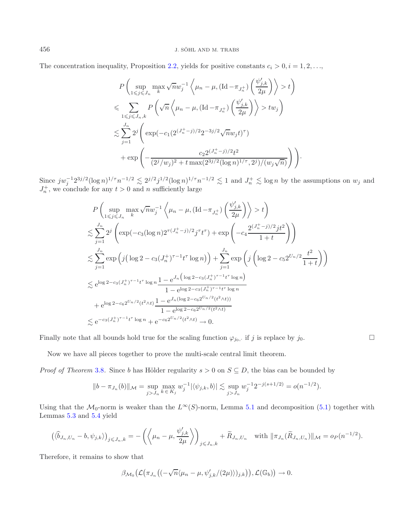The concentration inequality, Proposition [2.2,](#page-3-4) yields for positive constants  $c_i > 0, i = 1, 2, \ldots$ 

$$
P\left(\sup_{1 \leq j \leq J_n} \max_k \sqrt{n} w_j^{-1} \left\langle \mu_n - \mu, (\text{Id} - \pi_{J_n^+}) \left( \frac{\psi'_{j,k}}{2\mu} \right) \right\rangle > t \right)
$$
  

$$
\leqslant \sum_{1 \leq j \leq J_n, k} P\left(\sqrt{n} \left\langle \mu_n - \mu, (\text{Id} - \pi_{J_n^+}) \left( \frac{\psi'_{j,k}}{2\mu} \right) \right\rangle > tw_j \right)
$$
  

$$
\lesssim \sum_{j=1}^{J_n} 2^j \left( \exp(-c_1(2^{(J_n^+-j)/2} 2^{-3j/2} \sqrt{n} w_j t)^\tau) + \exp\left( -\frac{c_2 2^{(J_n^+-j)/2} t^2}{(2^j/w_j)^2 + t \max(2^{3j/2} (\log n)^{1/\tau}, 2^j)/(w_j \sqrt{n})} \right) \right).
$$

Since  $j w_j^{-1} 2^{3j/2} (\log n)^{1/\tau} n^{-1/2} \lesssim 2^{j/2} j^{1/2} (\log n)^{1/\tau} n^{-1/2} \lesssim 1$  and  $J_n^+ \lesssim \log n$  by the assumptions on  $w_j$  and  $J_n^+$ , we conclude for any  $t > 0$  and n sufficiently large

$$
P\left(\sup_{1\leq j\leq J_n} \max \sqrt{n}w_j^{-1}\left\langle \mu_n - \mu, (\text{Id} - \pi_{J_n^+})\left(\frac{\psi'_{j,k}}{2\mu}\right) \right\rangle > t\right)
$$
  

$$
\lesssim \sum_{j=1}^{J_n} 2^j \left(\exp(-c_3(\log n)2^{\tau(J_n^+-j)/2}j^{\tau}t^{\tau}) + \exp\left(-c_4\frac{2^{(J_n^+-j)/2}jt^2}{1+t}\right)\right)
$$
  

$$
\lesssim \sum_{j=1}^{J_n} \exp\left(j\left(\log 2 - c_3(J_n^+)^{\tau-1}t^{\tau}\log n\right)\right) + \sum_{j=1}^{J_n} \exp\left(j\left(\log 2 - c_52^{U_n/2}\frac{t^2}{1+t}\right)\right)
$$
  

$$
\lesssim e^{\log 2 - c_3(J_n^+)^{\tau-1}t^{\tau}\log n} \frac{1 - e^{J_n\left(\log 2 - c_3(J_n^+)^{\tau-1}t^{\tau}\log n\right)}}{1 - e^{\log 2 - c_3(J_n^+)^{\tau-1}t^{\tau}\log n}}
$$
  

$$
+ e^{\log 2 - c_6 2^{U_n/2}(t^2 \wedge t)} \frac{1 - e^{J_n(\log 2 - c_6 2^{U_n/2}(t^2 \wedge t))}}{1 - e^{\log 2 - c_6 2^{U_n/2}(t^2 \wedge t)}}
$$
  

$$
\lesssim e^{-c_3(J_n^+)^{\tau-1}t^{\tau}\log n} + e^{-c_6 2^{U_n/2}(t^2 \wedge t)} \to 0.
$$

Finally note that all bounds hold true for the scaling function  $\varphi_{j_0}$ , if j is replace by  $j_0$ .

Now we have all pieces together to prove the multi-scale central limit theorem.

*Proof of Theorem* [3.8](#page-15-3). Since b has Hölder regularity  $s > 0$  on  $S \subseteq D$ , the bias can be bounded by

$$
||b - \pi_{J_n}(b)||_{\mathcal{M}} = \sup_{j>J_n} \max_{k \in K_j} w_j^{-1} |\langle \psi_{j,k}, b \rangle| \lesssim \sup_{j>J_n} w_j^{-1} 2^{-j(s+1/2)} = o(n^{-1/2}).
$$

Using that the  $\mathcal{M}_0$ -norm is weaker than the  $L^\infty(S)$ -norm, Lemma [5.1](#page-20-0) and decomposition [\(5.1\)](#page-21-1) together with Lemmas [5.3](#page-22-1) and [5.4](#page-23-0) yield

$$
\left(\langle \widehat{b}_{J_n,U_n} - b, \psi_{j,k} \rangle\right)_{j \le J_n,k} = -\left( \left\langle \mu_n - \mu, \frac{\psi'_{j,k}}{2\mu} \right\rangle \right)_{j \le J_n,k} + \widetilde{R}_{J_n,U_n} \quad \text{with } \|\pi_{J_n}(\widetilde{R}_{J_n,U_n})\|_{\mathcal{M}} = o_P(n^{-1/2}).
$$

Therefore, it remains to show that

$$
\beta_{\mathcal{M}_0}\big(\mathcal{L}(\pi_{J_n}\big((-\sqrt{n}\langle \mu_n-\mu,\psi'_{j,k}/(2\mu)\rangle)_{j,k}\big)\big),\mathcal{L}(\mathbb{G}_b)\big)\to 0.
$$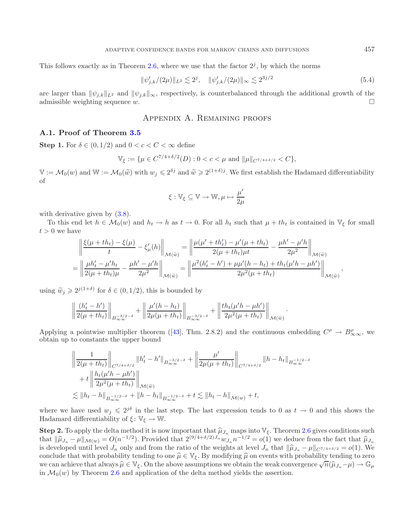This follows exactly as in Theorem [2.6,](#page-6-2) where we use that the factor  $2^j$ , by which the norms

<span id="page-25-1"></span>
$$
\|\psi'_{j,k}/(2\mu)\|_{L^2} \lesssim 2^j, \quad \|\psi'_{j,k}/(2\mu)\|_{\infty} \lesssim 2^{3j/2} \tag{5.4}
$$

are larger than  $\|\psi_{j,k}\|_{\mathcal{L}^2}$  and  $\|\psi_{j,k}\|_{\infty}$ , respectively, is counterbalanced through the additional growth of the admissible weighting sequence w.  $\square$ 

# Appendix A. Remaining proofs

### <span id="page-25-0"></span>**A.1. Proof of Theorem [3.5](#page-13-1)**

**Step 1.** For  $\delta \in (0, 1/2)$  and  $0 < c < C < \infty$  define

$$
\mathbb{V}_{\xi} := \{ \mu \in C^{7/4 + \delta/2}(D) : 0 < c < \mu \text{ and } \|\mu\|_{C^{7/4 + \delta/2}} < C \},
$$

 $\mathbb{V} := \mathcal{M}_0(w)$  and  $\mathbb{W} := \mathcal{M}_0(\widetilde{w})$  with  $w_j \leq 2^{\delta j}$  and  $\widetilde{w} \geq 2^{(1+\delta)j}$ . We first establish the Hadamard differentiability of

$$
\xi: \mathbb{V}_{\xi} \subseteq \mathbb{V} \rightarrow \mathbb{W}, \mu \mapsto \frac{\mu'}{2\mu}
$$

with derivative given by  $(3.8)$ .

To this end let  $h \in \mathcal{M}_0(w)$  and  $h_t \to h$  as  $t \to 0$ . For all  $h_t$  such that  $\mu + th_t$  is contained in  $\mathbb{V}_{\xi}$  for small  $t > 0$  we have

$$
\begin{split} &\left\| \frac{\xi(\mu+th_t) - \xi(\mu)}{t} - \xi'_{\mu}(h) \right\|_{\mathcal{M}(\widetilde{w})} = \left\| \frac{\mu(\mu'+th_t') - \mu'(\mu+th_t)}{2(\mu+th_t)\mu t} - \frac{\mu h' - \mu' h}{2\mu^2} \right\|_{\mathcal{M}(\widetilde{w})} \\ & = \left\| \frac{\mu h_t' - \mu' h_t}{2(\mu+th_t)\mu} - \frac{\mu h' - \mu' h}{2\mu^2} \right\|_{\mathcal{M}(\widetilde{w})} = \left\| \frac{\mu^2(h_t' - h') + \mu \mu'(h-h_t) + th_t(\mu'h - \mu h')}{2\mu^2(\mu+th_t)} \right\|_{\mathcal{M}(\widetilde{w})}, \end{split}
$$

using  $\widetilde{w}_j \geq 2^{j(1+\delta)}$  for  $\delta \in (0, 1/2)$ , this is bounded by

$$
\left\|\frac{(h'_t-h')}{2(\mu+th_t)}\right\|_{B_{\infty}^{-3/2-\delta}}+\left\|\frac{\mu'(h-h_t)}{2\mu(\mu+th_t)}\right\|_{B_{\infty}^{-3/2-\delta}}+\left\|\frac{th_t(\mu'h-\mu h')}{2\mu^2(\mu+th_t)}\right\|_{\mathcal{M}(\widetilde{w})}.
$$

Applying a pointwise multiplier theorem ([\[43](#page-30-10)], Thm. 2.8.2) and the continuous embedding  $C^{\rho} \to B^{\rho}_{\infty\infty}$ , we obtain up to constants the upper bound

$$
\left\| \frac{1}{2(\mu + th_t)} \right\|_{C^{7/4+\delta/2}} \|h_t' - h'\|_{B_{\infty}^{-3/2-\delta}} + \left\| \frac{\mu'}{2\mu(\mu + th_t)} \right\|_{C^{7/4+\delta/2}} \|h - h_t\|_{B_{\infty}^{-1/2-\delta}} + t \left\| \frac{h_t(\mu'h - \mu h')}{2\mu^2(\mu + th_t)} \right\|_{\mathcal{M}(\widetilde{w})} \n\lesssim \|h_t - h\|_{B_{\infty}^{-1/2-\delta}} + \|h - h_t\|_{B_{\infty}^{-1/2-\delta}} + t \lesssim \|h_t - h\|_{\mathcal{M}(w)} + t,
$$

where we have used  $w_i \leq 2^{j\delta}$  in the last step. The last expression tends to 0 as  $t \to 0$  and this shows the Hadamard differentiability of  $\xi: \mathbb{V}_{\xi} \to \mathbb{W}$ .

**Step 2.** To apply the delta method it is now important that  $\hat{\mu}_{J_n}$  maps into  $\mathbb{V}_{\xi}$ . Theorem [2.6](#page-6-2) gives conditions such that  $\hat{\mu}_{J_n} = \mu \| \mu_{J_n} - O(n^{-1/2})$ . Provided that  $2^{(9/4+\delta/2)J_n} u_{J_n} - 1/2 = o(1)$  we deduce f that  $\|\hat{\mu}_{J_n} - \mu\|_{\mathcal{M}(w)} = O(n^{-1/2})$ . Provided that  $2^{(9/4+\delta/2)J_n}w_{J_n}n^{-1/2} = o(1)$  we deduce from the fact that  $\hat{\mu}_{J_n}$ <br>is developed until lovel L only and from the ratio of the weights at lovel L that  $\|\hat{\mu}_{J_n} - \$ is developed until level  $J_n$  only and from the ratio of the weights at level  $J_n$  that  $\|\hat{\mu}_{J_n} - \mu\|_{C^{7/4+\delta/2}} = o(1)$ . We conclude that with probability tending to one  $\hat{\mu} \in V_{\xi}$ . By modifying  $\hat{\mu}$  on events with probability tending to zero we can achieve that always  $\hat{\mu} \in \mathbb{V}_{\xi}$ . On the above assumptions we obtain the weak convergence  $\sqrt{n}(\hat{\mu}_{J_n}-\mu) \to \mathbb{G}_{\mu}$ in  $\mathcal{M}_0(w)$  by Theorem [2.6](#page-6-2) and application of the delta method yields the assertion.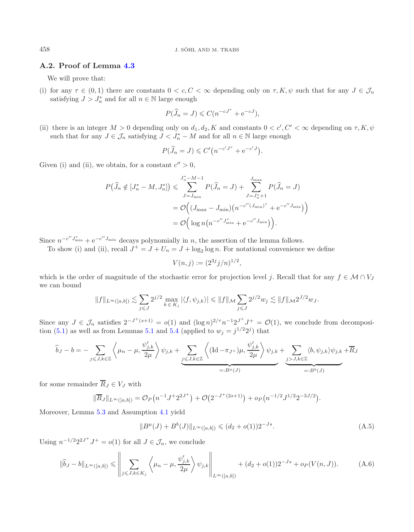# <span id="page-26-0"></span>**A.2. Proof of Lemma [4.3](#page-17-1)**

We will prove that:

(i) for any  $\tau \in (0,1)$  there are constants  $0 < c, C < \infty$  depending only on  $\tau, K, \psi$  such that for any  $J \in \mathcal{J}_n$ satisfying  $J > J_n^*$  and for all  $n \in \mathbb{N}$  large enough

$$
P(\widehat{J}_n = J) \leq C(n^{-cJ^{\tau}} + e^{-cJ}),
$$

(ii) there is an integer  $M > 0$  depending only on  $d_1, d_2, K$  and constants  $0 < c', C' < \infty$  depending on  $\tau, K, \psi$ <br>such that for any  $I \subset \mathcal{I}$  attisfying  $I \subset I^*$ . M and for all  $x \in \mathbb{N}$  large apparents such that for any  $J \in \mathcal{J}_n$  satisfying  $J \lt J_n^* - M$  and for all  $n \in \mathbb{N}$  large enough

$$
P(\widehat{J}_n = J) \leq C' \big( n^{-c'J^{\tau}} + e^{-c'J} \big).
$$

Given (i) and (ii), we obtain, for a constant  $c'' > 0$ ,

$$
P(\widehat{J}_{n} \notin [J_{n}^{*} - M, J_{n}^{*}]) \leqslant \sum_{J=J_{\min}}^{J_{n}^{*} - M - 1} P(\widehat{J}_{n} = J) + \sum_{J=J_{n}^{*} + 1}^{J_{\max}} P(\widehat{J}_{n} = J)
$$
  
=  $\mathcal{O}\Big((J_{\max} - J_{\min})(n^{-c''(J_{\min})^{+}} + e^{-c''J_{\min}})\Big)$   
=  $\mathcal{O}\Big(\log n(n^{-c''J_{\min}^{+}} + e^{-c''J_{\min}})\Big).$ 

Since  $n^{-c''J_{\min}^{\tau}} + e^{-c''J_{\min}}$  decays polynomially in n, the assertion of the lemma follows.

To show (i) and (ii), recall  $J^+ = J + U_n = J + \log_2 \log n$ . For notational convenience we define

$$
V(n,j) := (2^{3j}j/n)^{1/2},
$$

which is the order of magnitude of the stochastic error for projection level j. Recall that for any  $f \in \mathcal{M} \cap V_J$ we can bound

<span id="page-26-1"></span>
$$
||f||_{L^{\infty}([a,b])}\lesssim \sum_{j\leqslant J}2^{j/2}\max_{k\,\in \,K_j}|\langle f,\psi_{j,k}\rangle|\leqslant ||f||_{\mathcal M}\sum_{j\leqslant J}2^{j/2}w_j\lesssim ||f||_{\mathcal M}2^{J/2}w_J.
$$

Since any  $J \in \mathcal{J}_n$  satisfies  $2^{-J^+(s+1)} = o(1)$  and  $(\log n)^{2/\tau} n^{-1} 2^{J^+} J^+ = \mathcal{O}(1)$ , we conclude from decomposi-tion [\(5.1\)](#page-21-1) as well as from Lemmas [5.1](#page-20-0) and [5.4](#page-23-0) (applied to  $w_i = j^{1/2}2^{j}$ ) that

$$
\widehat{b}_J - b = -\sum_{j \leq J, k \in \mathbb{Z}} \left\langle \mu_n - \mu, \frac{\psi'_{j,k}}{2\mu} \right\rangle \psi_{j,k} + \underbrace{\sum_{j \leq J, k \in \mathbb{Z}} \left\langle (\text{Id} - \pi_{J+})\mu, \frac{\psi'_{j,k}}{2\mu} \right\rangle \psi_{j,k}}_{=:B^{\mu}(J)} + \underbrace{\sum_{j > J, k \in \mathbb{Z}} \langle b, \psi_{j,k} \rangle \psi_{j,k} + \overline{R}_{J} \psi_{j,k}}_{=:B^{\flat}(J)} + \underbrace{\sum_{j > J, k \in \mathbb{Z}} \langle b, \psi_{j,k} \rangle \psi_{j,k}}_{=:B^{\flat}(J)} + \underbrace{\sum_{j > J, k \in \mathbb{Z}} \langle b, \psi_{j,k} \rangle \psi_{j,k}}_{=:B^{\flat}(J)}
$$

for some remainder  $\overline{R}_J \in V_J$  with

$$
\|\overline{R}_J\|_{L^{\infty}([a,b])} = \mathcal{O}_P(n^{-1}J^{\dagger}2^{2J^+}) + \mathcal{O}(2^{-J^+(2s+1)}) + o_P(n^{-1/2}J^{1/2}2^{-3J/2}).
$$

Moreover, Lemma [5.3](#page-22-1) and Assumption [4.1](#page-16-2) yield

$$
||B^{\mu}(J) + B^{b}(J)||_{L^{\infty}([a,b])} \leq (d_2 + o(1))2^{-Js}.
$$
\n(A.5)

Using  $n^{-1/2}2^{2J^+}J^+ = o(1)$  for all  $J \in \mathcal{J}_n$ , we conclude

$$
\|\widehat{b}_J - b\|_{L^{\infty}([a,b])} \le \left\| \sum_{j \le J, k \in K_j} \left\langle \mu_n - \mu, \frac{\psi'_{j,k}}{2\mu} \right\rangle \psi_{j,k} \right\|_{L^{\infty}([a,b])} + (d_2 + o(1))2^{-Js} + o_P(V(n,J)).
$$
 (A.6)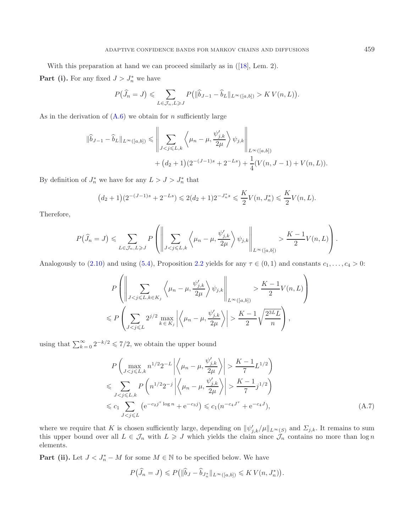With this preparation at hand we can proceed similarly as in ([\[18](#page-29-17)], Lem. 2).

**Part (i).** For any fixed  $J > J_n^*$  we have

$$
P(\widehat{J}_n = J) \leqslant \sum_{L \in \mathcal{J}_n, L \geqslant J} P\big(\|\widehat{b}_{J-1} - \widehat{b}_L\|_{L^{\infty}([a,b])} > KV(n,L)\big).
$$

As in the derivation of  $(A.6)$  we obtain for *n* sufficiently large

$$
\|\widehat{b}_{J-1} - \widehat{b}_L\|_{L^{\infty}([a,b])} \le \left\|\sum_{J < j \le L,k} \left\langle \mu_n - \mu, \frac{\psi'_{j,k}}{2\mu} \right\rangle \psi_{j,k} \right\|_{L^{\infty}([a,b])} + (d_2 + 1)(2^{-(J-1)s} + 2^{-Ls}) + \frac{1}{4}(V(n, J-1) + V(n, L)).
$$

By definition of  $J_n^*$  we have for any  $L > J > J_n^*$  that

$$
(d_2+1)(2^{-(J-1)s}+2^{-Ls}) \leq 2(d_2+1)2^{-J_n^*s} \leq \frac{K}{2}V(n,J_n^*) \leq \frac{K}{2}V(n,L).
$$

Therefore,

$$
P(\widehat{J}_n = J) \leqslant \sum_{L \in \mathcal{J}_n, L \geqslant J} P\left(\left\|\sum_{J < j \leqslant L, k} \left\langle \mu_n - \mu, \frac{\psi'_{j,k}}{2\mu} \right\rangle \psi_{j,k}\right\|_{L^{\infty}([a,b])} > \frac{K-1}{2}V(n, L)\right).
$$

Analogously to [\(2.10\)](#page-7-3) and using [\(5.4\)](#page-25-1), Proposition [2.2](#page-3-4) yields for any  $\tau \in (0,1)$  and constants  $c_1,\ldots,c_4 > 0$ :

<span id="page-27-0"></span>
$$
P\left(\left\|\sum_{J < j \leq L, k \in K_j} \left\langle \mu_n - \mu, \frac{\psi_{j,k}'}{2\mu} \right\rangle \psi_{j,k} \right\|_{L^\infty([a,b])} > \frac{K-1}{2} V(n,L) \right)
$$
\n
$$
\leqslant P\left(\sum_{J < j \leqslant L} 2^{j/2} \max_{k \in K_j} \left| \left\langle \mu_n - \mu, \frac{\psi_{j,k}'}{2\mu} \right\rangle \right| > \frac{K-1}{2} \sqrt{\frac{2^{3L}L}{n}} \right),
$$

using that  $\sum_{k=0}^{\infty} 2^{-k/2} \leq 7/2$ , we obtain the upper bound

$$
P\left(\max_{J \frac{K-1}{7}L^{1/2}\right)
$$
\n
$$
\leqslant \sum_{J \frac{K-1}{7}j^{1/2}\right)
$$
\n
$$
\leqslant c_1 \sum_{J
$$

where we require that K is chosen sufficiently large, depending on  $\|\psi'_{j,k}/\mu\|_{L^{\infty}(S)}$  and  $\Sigma_{j,k}$ . It remains to sum this upper bound over all  $L \in \mathcal{J}_n$  with  $L \geq J$  which yields the claim since  $\mathcal{J}_n$  contain elements.

**Part (ii).** Let  $J < J_n^* - M$  for some  $M \in \mathbb{N}$  to be specified below. We have

$$
P(\widehat{J}_n = J) \leqslant P\big(\|\widehat{b}_J - \widehat{b}_{J_n^*}\|_{L^\infty([a,b])} \leqslant K V(n, J_n^*)\big).
$$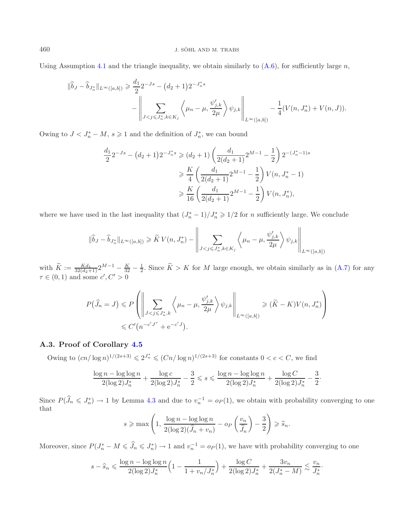Using Assumption [4.1](#page-16-2) and the triangle inequality, we obtain similarly to  $(A.6)$ , for sufficiently large n,

$$
\|\hat{b}_J - \hat{b}_{J_n^*}\|_{L^{\infty}([a,b])} \geq \frac{d_1}{2} 2^{-Js} - (d_2 + 1) 2^{-J_n^*s}
$$
  

$$
-\left\|\sum_{J < j \leq J_n^*, k \in K_j} \left\langle \mu_n - \mu, \frac{\psi'_{j,k}}{2\mu} \right\rangle \psi_{j,k} \right\|_{L^{\infty}([a,b])} - \frac{1}{4} (V(n, J_n^*) + V(n, J)).
$$

Owing to  $J < J_n^* - M$ ,  $s \geq 1$  and the definition of  $J_n^*$ , we can bound

$$
\frac{d_1}{2} 2^{-Js} - (d_2 + 1) 2^{-J_n^*s} \geq (d_2 + 1) \left( \frac{d_1}{2(d_2 + 1)} 2^{M-1} - \frac{1}{2} \right) 2^{-(J_n^* - 1)s}
$$
  
\n
$$
\geq \frac{K}{4} \left( \frac{d_1}{2(d_2 + 1)} 2^{M-1} - \frac{1}{2} \right) V(n, J_n^* - 1)
$$
  
\n
$$
\geq \frac{K}{16} \left( \frac{d_1}{2(d_2 + 1)} 2^{M-1} - \frac{1}{2} \right) V(n, J_n^*),
$$

where we have used in the last inequality that  $(J_n^* - 1)/J_n^* \geq 1/2$  for *n* sufficiently large. We conclude

$$
\|\widehat{b}_J - \widehat{b}_{J_n^*}\|_{L^\infty([a,b])} \geqslant \widetilde{K}\,V(n,J_n^*) - \left\|\sum_{J < j \leqslant J_n^*, k \in K_j} \left\langle \mu_n - \mu, \frac{\psi_{j,k}'}{2\mu} \right\rangle \psi_{j,k} \right\|_{L^\infty([a,b])}
$$

with  $\widetilde{K} := \frac{Kd_1}{32(d_2+1)} 2^{M-1} - \frac{K}{32} - \frac{1}{2}$ . Since  $\widetilde{K} > K$  for M large enough, we obtain similarly as in [\(A.7\)](#page-27-0) for any  $\tau \in (0,1)$  and some  $c', C' > 0$ 

$$
P(\widehat{J}_n = J) \leq P\left(\left\|\sum_{J < j \leq J_n^*, k} \left\langle \mu_n - \mu, \frac{\psi'_{j,k}}{2\mu} \right\rangle \psi_{j,k} \right\|_{L^\infty([a,b])} \geq (\widetilde{K} - K)V(n, J_n^*)\right)
$$
  

$$
\leq C'\left(n^{-c'J^*} + e^{-c'J}\right).
$$

## <span id="page-28-0"></span>**A.3. Proof of Corollary [4.5](#page-18-2)**

Owing to  $(cn/\log n)^{1/(2s+3)} \leq 2^{J_n^*}$  ≤  $(Cn/\log n)^{1/(2s+3)}$  for constants 0 < *c* < *C*, we find

$$
\frac{\log n - \log \log n}{2(\log 2)J_n^*} + \frac{\log c}{2(\log 2)J_n^*} - \frac{3}{2} \leqslant s \leqslant \frac{\log n - \log \log n}{2(\log 2)J_n^*} + \frac{\log C}{2(\log 2)J_n^*} - \frac{3}{2}.
$$

Since  $P(\tilde{J}_n \leq J_n^*) \to 1$  by Lemma [4.3](#page-17-1) and due to  $v_n^{-1} = o_P(1)$ , we obtain with probability converging to one that

$$
s \ge \max\left(1, \frac{\log n - \log\log n}{2(\log 2)(\widehat{J}_n + v_n)} - op\left(\frac{v_n}{\widehat{J}_n}\right) - \frac{3}{2}\right) \ge \widehat{s}_n.
$$

Moreover, since  $P(J_n^* - M \leq \tilde{J}_n \leq J_n^*) \to 1$  and  $v_n^{-1} = o_P(1)$ , we have with probability converging to one

$$
s - \widehat{s}_n \leqslant \frac{\log n - \log \log n}{2(\log 2) J_n^*} \Big( 1 - \frac{1}{1 + v_n/J_n^*} \Big) + \frac{\log C}{2(\log 2) J_n^*} + \frac{3v_n}{2(J_n^* - M)} \lesssim \frac{v_n}{J_n^*}.
$$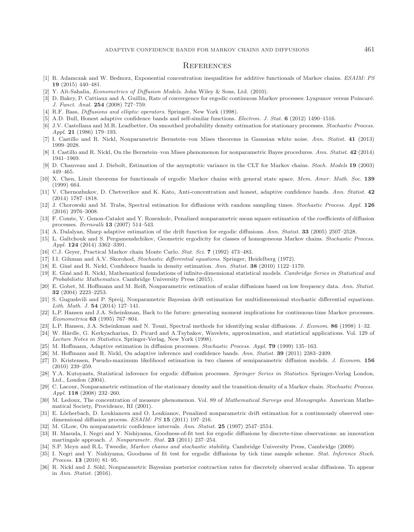## **REFERENCES**

- <span id="page-29-22"></span>[1] R. Adamczak and W. Bednorz, Exponential concentration inequalities for additive functionals of Markov chains. ESAIM: PS **19** (2015) 440–481.
- <span id="page-29-3"></span>[2] Y. Aït-Sahalia, *Econometrics of Diffusion Models*. John Wiley & Sons, Ltd. (2010).
- <span id="page-29-26"></span>[3] D. Bakry, P. Cattiaux and A. Guillin, Rate of convergence for ergodic continuous Markov processes: Lyapunov versus Poincaré. J. Funct. Anal. **254** (2008) 727–759.
- <span id="page-29-32"></span>[4] R.F. Bass, *Diffusions and elliptic operators*. Springer, New York (1998).
- [5] A.D. Bull, Honest adaptive confidence bands and self-similar functions. Electron. J. Stat. **6** (2012) 1490–1516.
- <span id="page-29-35"></span><span id="page-29-0"></span>[6] J.V. Castellana and M.R. Leadbetter, On smoothed probability density estimation for stationary processes. Stochastic Process. Appl. **21** (1986) 179–193.
- <span id="page-29-20"></span>[7] I. Castillo and R. Nickl, Nonparametric Bernstein–von Mises theorems in Gaussian white noise. Ann. Statist. **41** (2013) 1999–2028.
- <span id="page-29-21"></span>[8] I. Castillo and R. Nickl, On the Bernstein–von Mises phenomenon for nonparametric Bayes procedures. Ann. Statist. **42** (2014) 1941–1969.
- [9] D. Chauveau and J. Diebolt, Estimation of the asymptotic variance in the CLT for Markov chains. Stoch. Models **19** (2003) 449–465.
- <span id="page-29-30"></span><span id="page-29-25"></span>[10] X. Chen, Limit theorems for functionals of ergodic Markov chains with general state space. Mem. Amer. Math. Soc. **139** (1999) 664.
- <span id="page-29-19"></span>[11] V. Chernozhukov, D. Chetverikov and K. Kato, Anti-concentration and honest, adaptive confidence bands. Ann. Statist. **42** (2014) 1787–1818.
- <span id="page-29-8"></span>[12] J. Chorowski and M. Trabs, Spectral estimation for diffusions with random sampling times. Stochastic Process. Appl. **126** (2016) 2976–3008.
- <span id="page-29-13"></span>[13] F. Comte, V. Genon-Catalot and Y. Rozenholc, Penalized nonparametric mean square estimation of the coefficients of diffusion processes. Bernoulli **13** (2007) 514–543.
- <span id="page-29-10"></span>[14] A. Dalalyan, Sharp adaptive estimation of the drift function for ergodic diffusions. Ann. Statist. **33** (2005) 2507–2528.
- <span id="page-29-34"></span>[15] L. Galtchouk and S. Pergamenshchikov, Geometric ergodicity for classes of homogeneous Markov chains. Stochastic Process. Appl. **124** (2014) 3362–3391.
- <span id="page-29-23"></span>[16] C.J. Geyer, Practical Markov chain Monte Carlo. Stat. Sci. **7** (1992) 473–483.
- <span id="page-29-33"></span>[17] I.I. Gihman and A.V. Skorohod, Stochastic differential equations. Springer, Heidelberg (1972).
- <span id="page-29-17"></span>[18] E. Gin´e and R. Nickl, Confidence bands in density estimation. Ann. Statist. **38** (2010) 1122–1170.
- <span id="page-29-28"></span>[19] E. Giné and R. Nickl, Mathematical foundations of infinite-dimensional statistical models. Cambridge Series in Statistical and Probabilistic Mathematics. Cambridge University Press (2015).
- <span id="page-29-4"></span>[20] E. Gobet, M. Hoffmann and M. Reiß, Nonparametric estimation of scalar diffusions based on low frequency data. Ann. Statist. **32** (2004) 2223–2253.
- <span id="page-29-31"></span>[21] S. Gugushvili and P. Spreij, Nonparametric Bayesian drift estimation for multidimensional stochastic differential equations. Lith. Math. J. **54** (2014) 127–141.
- <span id="page-29-5"></span>[22] L.P. Hansen and J.A. Scheinkman, Back to the future: generating moment implications for continuous-time Markov processes. Econometrica **63** (1995) 767–804.
- <span id="page-29-6"></span>[23] L.P. Hansen, J.A. Scheinkman and N. Touzi, Spectral methods for identifying scalar diffusions. J. Econom. **86** (1998) 1–32.
- <span id="page-29-27"></span>[24] W. Härdle, G. Kerkyacharian, D. Picard and A.Tsybakov, Wavelets, approximation, and statistical applications. Vol. 129 of Lecture Notes in Statistics. Springer-Verlag, New York (1998).
- <span id="page-29-12"></span>[25] M. Hoffmann, Adaptive estimation in diffusion processes. Stochastic Process. Appl. **79** (1999) 135–163.
- <span id="page-29-18"></span>[26] M. Hoffmann and R. Nickl, On adaptive inference and confidence bands. Ann. Statist. **39** (2011) 2383–2409.
- <span id="page-29-7"></span>[27] D. Kristensen, Pseudo-maximum likelihood estimation in two classes of semiparametric diffusion models. J. Econom. **156** (2010) 239–259.
- <span id="page-29-2"></span>[28] Y.A. Kutoyants, Statistical inference for ergodic diffusion processes. Springer Series in Statistics. Springer-Verlag London, Ltd., London (2004).
- <span id="page-29-1"></span>[29] C. Lacour, Nonparametric estimation of the stationary density and the transition density of a Markov chain. Stochastic Process. Appl. **118** (2008) 232–260.
- <span id="page-29-29"></span>[30] M. Ledoux, The concentration of measure phenomenon. Vol. 89 of Mathematical Surveys and Monographs. American Mathematical Society, Providence, RI (2001).
- <span id="page-29-11"></span>[31] E. Löcherbach, D. Loukianova and O. Loukianov, Penalized nonparametric drift estimation for a continuously observed onedimensional diffusion process. ESAIM: PS **15** (2011) 197–216.
- <span id="page-29-16"></span>[32] M. GLow, On nonparametric confidence intervals. Ann. Statist. **25** (1997) 2547–2554.
- <span id="page-29-15"></span>[33] H. Masuda, I. Negri and Y. Nishiyama, Goodness-of-fit test for ergodic diffusions by discrete-time observations: an innovation martingale approach. J. Nonparametr. Stat. **23** (2011) 237–254.
- <span id="page-29-24"></span>[34] S.P. Meyn and R.L. Tweedie, *Markov chains and stochastic stability*. Cambridge University Press, Cambridge (2009).
- <span id="page-29-14"></span>[35] I. Negri and Y. Nishiyama, Goodness of fit test for ergodic diffusions by tick time sample scheme. Stat. Inference Stoch. Process. **13** (2010) 81–95.
- <span id="page-29-9"></span>[36] R. Nickl and J. Söhl, Nonparametric Bayesian posterior contraction rates for discretely observed scalar diffusions. To appear in Ann. Statist. (2016).